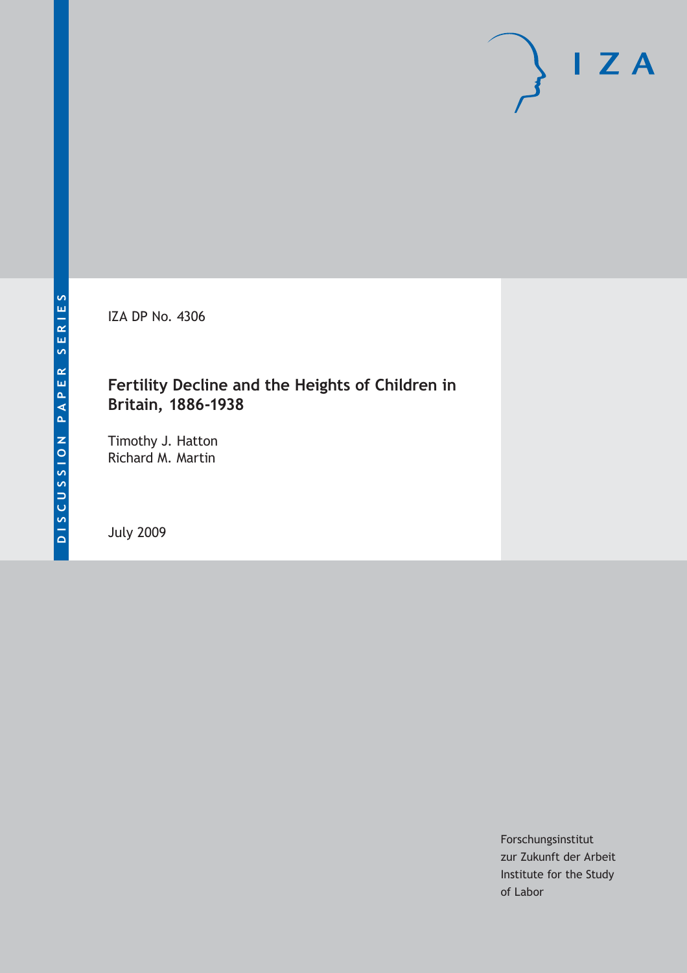IZA DP No. 4306

# **Fertility Decline and the Heights of Children in Britain, 1886-1938**

Timothy J. Hatton Richard M. Martin

July 2009

Forschungsinstitut zur Zukunft der Arbeit Institute for the Study of Labor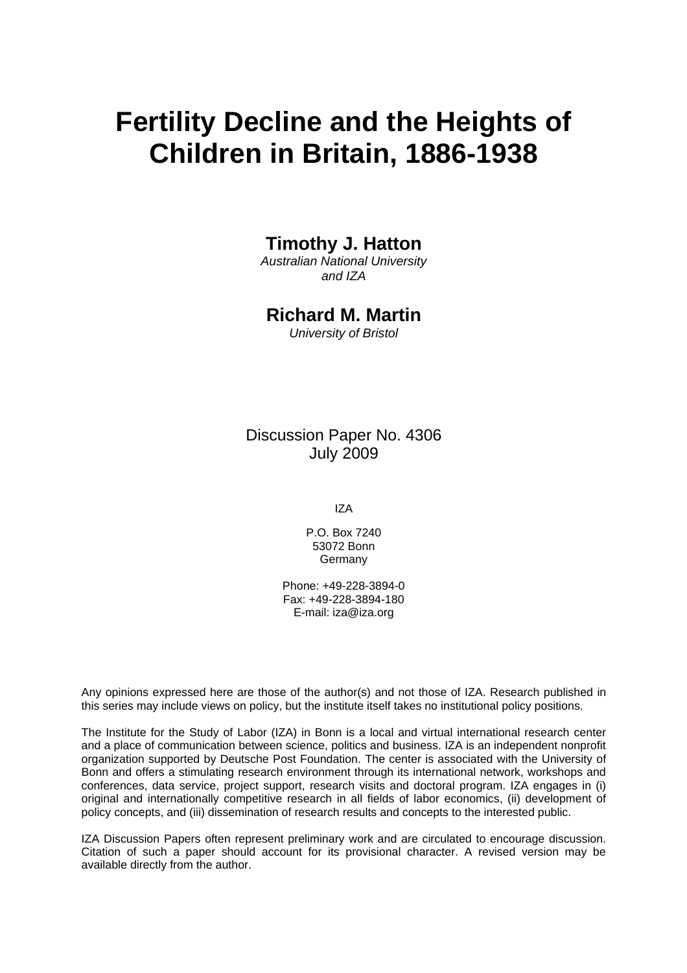# **Fertility Decline and the Heights of Children in Britain, 1886-1938**

# **Timothy J. Hatton**

*Australian National University and IZA* 

# **Richard M. Martin**

*University of Bristol* 

Discussion Paper No. 4306 July 2009

IZA

P.O. Box 7240 53072 Bonn Germany

Phone: +49-228-3894-0 Fax: +49-228-3894-180 E-mail: [iza@iza.org](mailto:iza@iza.org)

Any opinions expressed here are those of the author(s) and not those of IZA. Research published in this series may include views on policy, but the institute itself takes no institutional policy positions.

The Institute for the Study of Labor (IZA) in Bonn is a local and virtual international research center and a place of communication between science, politics and business. IZA is an independent nonprofit organization supported by Deutsche Post Foundation. The center is associated with the University of Bonn and offers a stimulating research environment through its international network, workshops and conferences, data service, project support, research visits and doctoral program. IZA engages in (i) original and internationally competitive research in all fields of labor economics, (ii) development of policy concepts, and (iii) dissemination of research results and concepts to the interested public.

IZA Discussion Papers often represent preliminary work and are circulated to encourage discussion. Citation of such a paper should account for its provisional character. A revised version may be available directly from the author.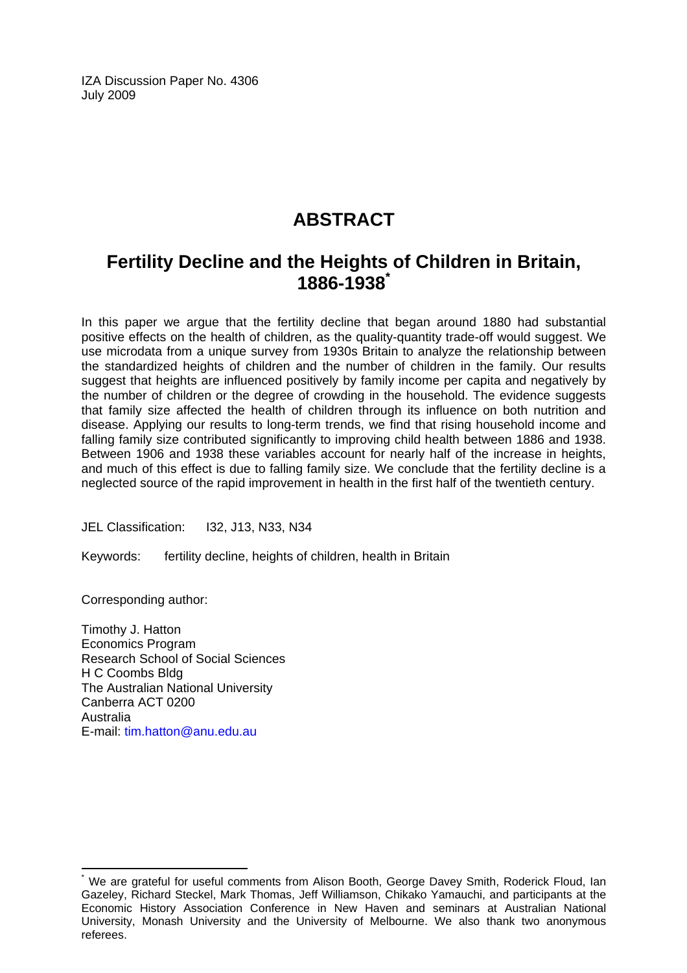IZA Discussion Paper No. 4306 July 2009

# **ABSTRACT**

# **Fertility Decline and the Heights of Children in Britain, 1886-1938[\\*](#page-2-0)**

In this paper we argue that the fertility decline that began around 1880 had substantial positive effects on the health of children, as the quality-quantity trade-off would suggest. We use microdata from a unique survey from 1930s Britain to analyze the relationship between the standardized heights of children and the number of children in the family. Our results suggest that heights are influenced positively by family income per capita and negatively by the number of children or the degree of crowding in the household. The evidence suggests that family size affected the health of children through its influence on both nutrition and disease. Applying our results to long-term trends, we find that rising household income and falling family size contributed significantly to improving child health between 1886 and 1938. Between 1906 and 1938 these variables account for nearly half of the increase in heights, and much of this effect is due to falling family size. We conclude that the fertility decline is a neglected source of the rapid improvement in health in the first half of the twentieth century.

JEL Classification: I32, J13, N33, N34

Keywords: fertility decline, heights of children, health in Britain

Corresponding author:

 $\overline{a}$ 

Timothy J. Hatton Economics Program Research School of Social Sciences H C Coombs Bldg The Australian National University Canberra ACT 0200 Australia E-mail: [tim.hatton@anu.edu.au](mailto:tim.hatton@anu.edu.au)

<span id="page-2-0"></span><sup>\*</sup> We are grateful for useful comments from Alison Booth, George Davey Smith, Roderick Floud, Ian Gazeley, Richard Steckel, Mark Thomas, Jeff Williamson, Chikako Yamauchi, and participants at the Economic History Association Conference in New Haven and seminars at Australian National University, Monash University and the University of Melbourne. We also thank two anonymous referees.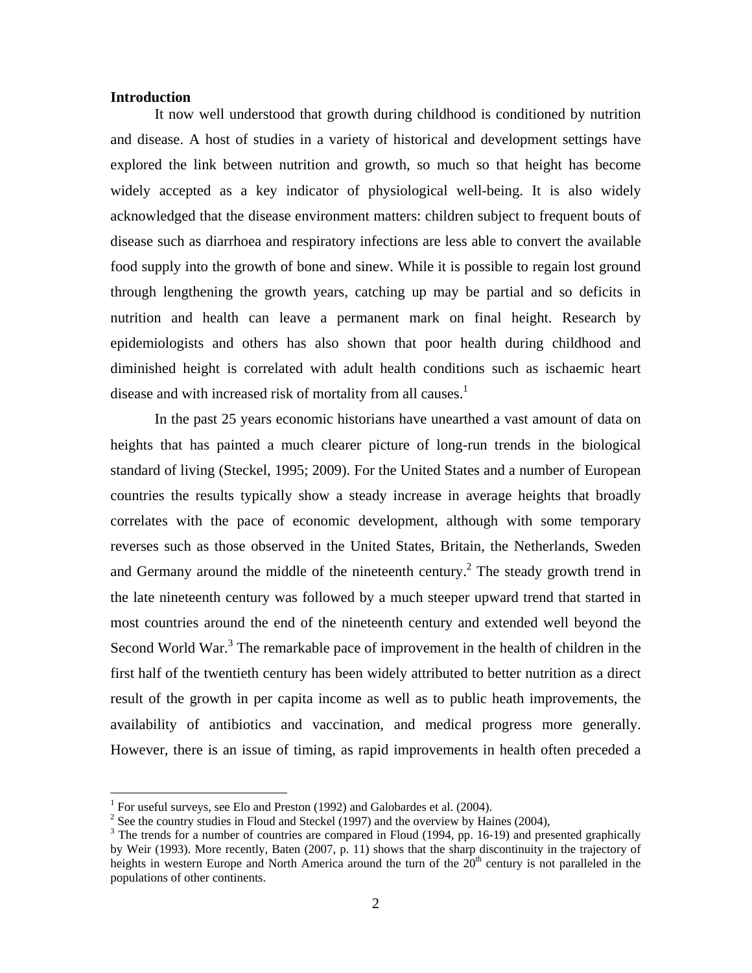#### **Introduction**

1

It now well understood that growth during childhood is conditioned by nutrition and disease. A host of studies in a variety of historical and development settings have explored the link between nutrition and growth, so much so that height has become widely accepted as a key indicator of physiological well-being. It is also widely acknowledged that the disease environment matters: children subject to frequent bouts of disease such as diarrhoea and respiratory infections are less able to convert the available food supply into the growth of bone and sinew. While it is possible to regain lost ground through lengthening the growth years, catching up may be partial and so deficits in nutrition and health can leave a permanent mark on final height. Research by epidemiologists and others has also shown that poor health during childhood and diminished height is correlated with adult health conditions such as ischaemic heart disease and with increased risk of mortality from all causes.<sup>1</sup>

In the past 25 years economic historians have unearthed a vast amount of data on heights that has painted a much clearer picture of long-run trends in the biological standard of living (Steckel, 1995; 2009). For the United States and a number of European countries the results typically show a steady increase in average heights that broadly correlates with the pace of economic development, although with some temporary reverses such as those observed in the United States, Britain, the Netherlands, Sweden and Germany around the middle of the nineteenth century.<sup>2</sup> The steady growth trend in the late nineteenth century was followed by a much steeper upward trend that started in most countries around the end of the nineteenth century and extended well beyond the Second World War.<sup>3</sup> The remarkable pace of improvement in the health of children in the first half of the twentieth century has been widely attributed to better nutrition as a direct result of the growth in per capita income as well as to public heath improvements, the availability of antibiotics and vaccination, and medical progress more generally. However, there is an issue of timing, as rapid improvements in health often preceded a

<sup>&</sup>lt;sup>1</sup> For useful surveys, see Elo and Preston (1992) and Galobardes et al. (2004).

 $2^2$  See the country studies in Floud and Steckel (1997) and the overview by Haines (2004),

 $3$  The trends for a number of countries are compared in Floud (1994, pp. 16-19) and presented graphically by Weir (1993). More recently, Baten (2007, p. 11) shows that the sharp discontinuity in the trajectory of heights in western Europe and North America around the turn of the  $20<sup>th</sup>$  century is not paralleled in the populations of other continents.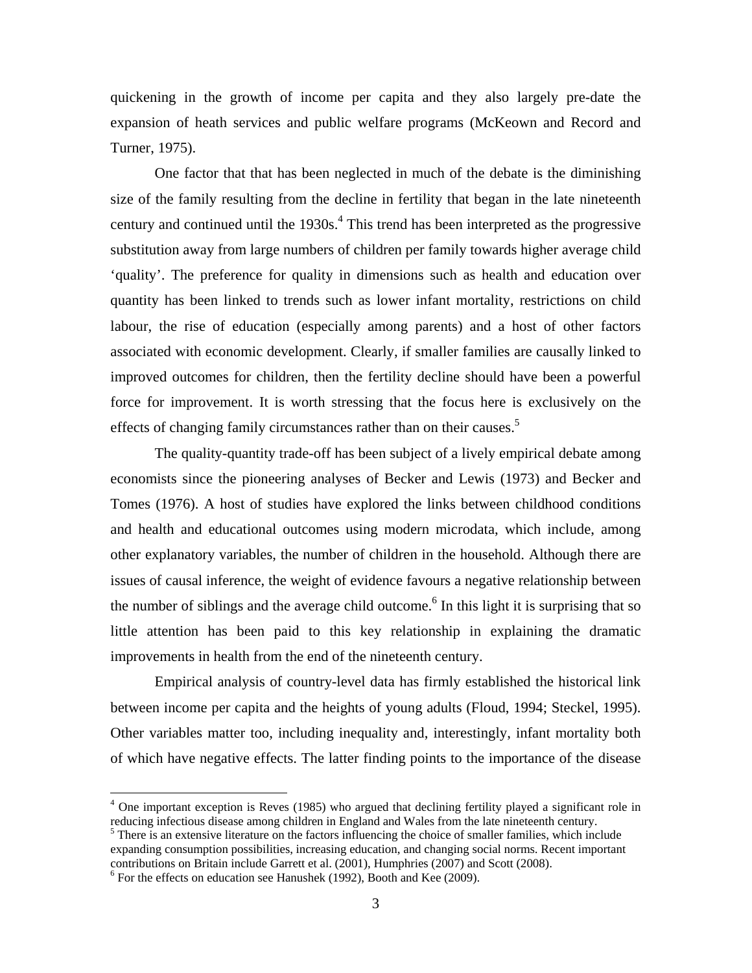quickening in the growth of income per capita and they also largely pre-date the expansion of heath services and public welfare programs (McKeown and Record and Turner, 1975).

One factor that that has been neglected in much of the debate is the diminishing size of the family resulting from the decline in fertility that began in the late nineteenth century and continued until the  $1930s<sup>4</sup>$ . This trend has been interpreted as the progressive substitution away from large numbers of children per family towards higher average child 'quality'. The preference for quality in dimensions such as health and education over quantity has been linked to trends such as lower infant mortality, restrictions on child labour, the rise of education (especially among parents) and a host of other factors associated with economic development. Clearly, if smaller families are causally linked to improved outcomes for children, then the fertility decline should have been a powerful force for improvement. It is worth stressing that the focus here is exclusively on the effects of changing family circumstances rather than on their causes.<sup>5</sup>

The quality-quantity trade-off has been subject of a lively empirical debate among economists since the pioneering analyses of Becker and Lewis (1973) and Becker and Tomes (1976). A host of studies have explored the links between childhood conditions and health and educational outcomes using modern microdata, which include, among other explanatory variables, the number of children in the household. Although there are issues of causal inference, the weight of evidence favours a negative relationship between the number of siblings and the average child outcome.<sup>6</sup> In this light it is surprising that so little attention has been paid to this key relationship in explaining the dramatic improvements in health from the end of the nineteenth century.

Empirical analysis of country-level data has firmly established the historical link between income per capita and the heights of young adults (Floud, 1994; Steckel, 1995). Other variables matter too, including inequality and, interestingly, infant mortality both of which have negative effects. The latter finding points to the importance of the disease

<sup>&</sup>lt;sup>4</sup> One important exception is Reves (1985) who argued that declining fertility played a significant role in reducing infectious disease among children in England and Wales from the late nineteenth century.

<sup>&</sup>lt;sup>5</sup> There is an extensive literature on the factors influencing the choice of smaller families, which include expanding consumption possibilities, increasing education, and changing social norms. Recent important contributions on Britain include Garrett et al. (2001), Humphries (2007) and Scott (2008).

 $6$  For the effects on education see Hanushek (1992), Booth and Kee (2009).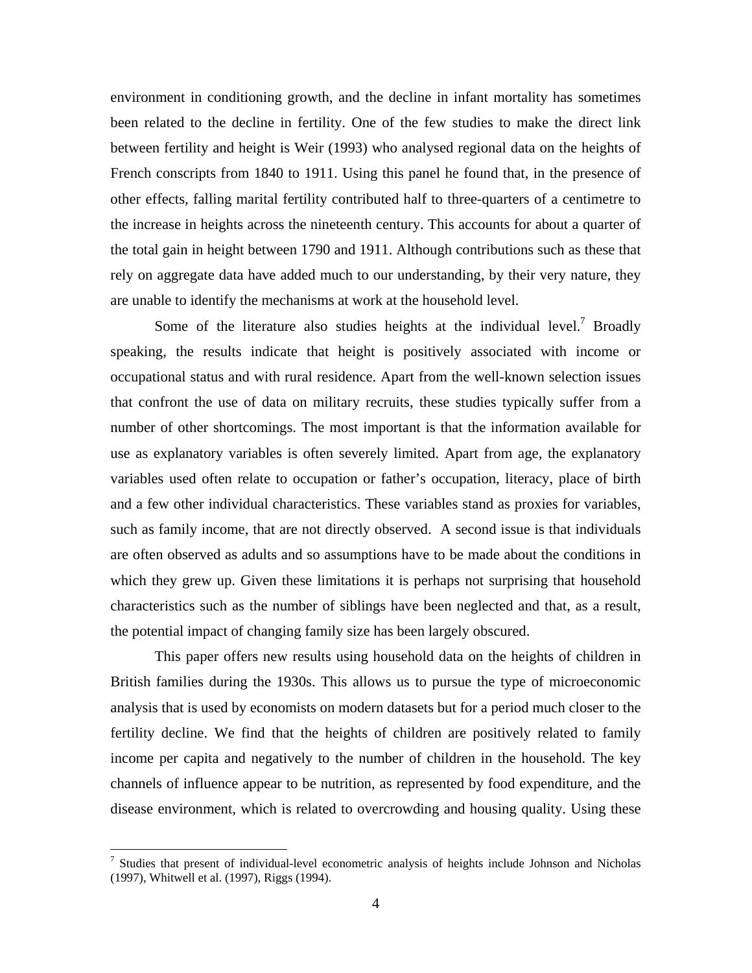environment in conditioning growth, and the decline in infant mortality has sometimes been related to the decline in fertility. One of the few studies to make the direct link between fertility and height is Weir (1993) who analysed regional data on the heights of French conscripts from 1840 to 1911. Using this panel he found that, in the presence of other effects, falling marital fertility contributed half to three-quarters of a centimetre to the increase in heights across the nineteenth century. This accounts for about a quarter of the total gain in height between 1790 and 1911. Although contributions such as these that rely on aggregate data have added much to our understanding, by their very nature, they are unable to identify the mechanisms at work at the household level.

Some of the literature also studies heights at the individual level.<sup>7</sup> Broadly speaking, the results indicate that height is positively associated with income or occupational status and with rural residence. Apart from the well-known selection issues that confront the use of data on military recruits, these studies typically suffer from a number of other shortcomings. The most important is that the information available for use as explanatory variables is often severely limited. Apart from age, the explanatory variables used often relate to occupation or father's occupation, literacy, place of birth and a few other individual characteristics. These variables stand as proxies for variables, such as family income, that are not directly observed. A second issue is that individuals are often observed as adults and so assumptions have to be made about the conditions in which they grew up. Given these limitations it is perhaps not surprising that household characteristics such as the number of siblings have been neglected and that, as a result, the potential impact of changing family size has been largely obscured.

This paper offers new results using household data on the heights of children in British families during the 1930s. This allows us to pursue the type of microeconomic analysis that is used by economists on modern datasets but for a period much closer to the fertility decline. We find that the heights of children are positively related to family income per capita and negatively to the number of children in the household. The key channels of influence appear to be nutrition, as represented by food expenditure, and the disease environment, which is related to overcrowding and housing quality. Using these

<sup>&</sup>lt;sup>7</sup> Studies that present of individual-level econometric analysis of heights include Johnson and Nicholas (1997), Whitwell et al. (1997), Riggs (1994).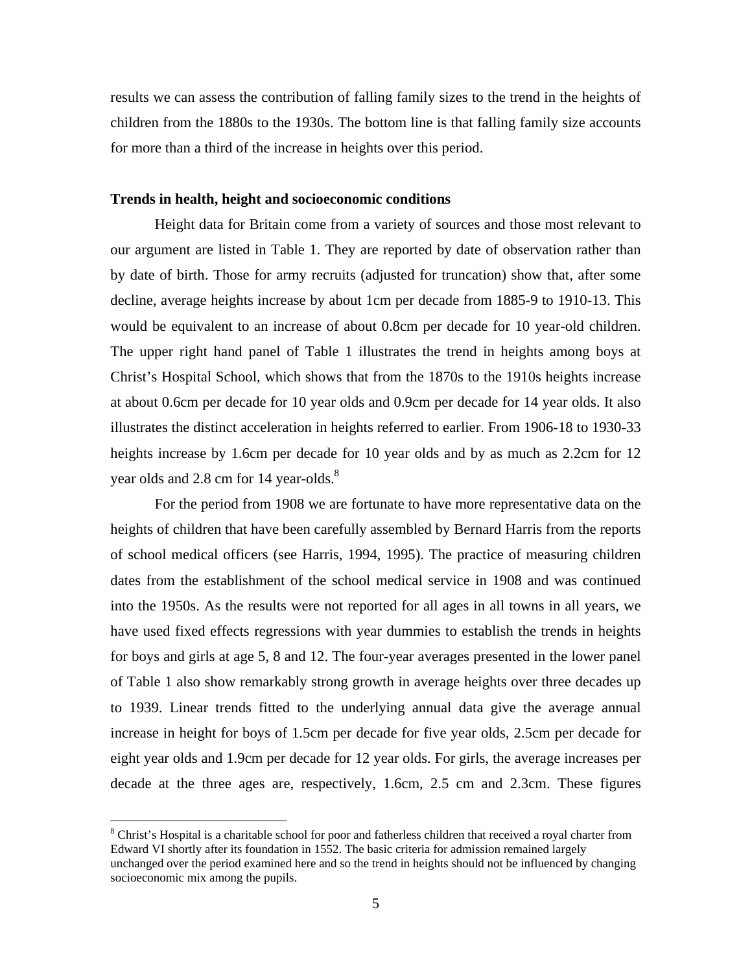results we can assess the contribution of falling family sizes to the trend in the heights of children from the 1880s to the 1930s. The bottom line is that falling family size accounts for more than a third of the increase in heights over this period.

#### **Trends in health, height and socioeconomic conditions**

 Height data for Britain come from a variety of sources and those most relevant to our argument are listed in Table 1. They are reported by date of observation rather than by date of birth. Those for army recruits (adjusted for truncation) show that, after some decline, average heights increase by about 1cm per decade from 1885-9 to 1910-13. This would be equivalent to an increase of about 0.8cm per decade for 10 year-old children. The upper right hand panel of Table 1 illustrates the trend in heights among boys at Christ's Hospital School, which shows that from the 1870s to the 1910s heights increase at about 0.6cm per decade for 10 year olds and 0.9cm per decade for 14 year olds. It also illustrates the distinct acceleration in heights referred to earlier. From 1906-18 to 1930-33 heights increase by 1.6cm per decade for 10 year olds and by as much as 2.2cm for 12 year olds and 2.8 cm for 14 year-olds.<sup>8</sup>

For the period from 1908 we are fortunate to have more representative data on the heights of children that have been carefully assembled by Bernard Harris from the reports of school medical officers (see Harris, 1994, 1995). The practice of measuring children dates from the establishment of the school medical service in 1908 and was continued into the 1950s. As the results were not reported for all ages in all towns in all years, we have used fixed effects regressions with year dummies to establish the trends in heights for boys and girls at age 5, 8 and 12. The four-year averages presented in the lower panel of Table 1 also show remarkably strong growth in average heights over three decades up to 1939. Linear trends fitted to the underlying annual data give the average annual increase in height for boys of 1.5cm per decade for five year olds, 2.5cm per decade for eight year olds and 1.9cm per decade for 12 year olds. For girls, the average increases per decade at the three ages are, respectively, 1.6cm, 2.5 cm and 2.3cm. These figures

<u>.</u>

<sup>&</sup>lt;sup>8</sup> Christ's Hospital is a charitable school for poor and fatherless children that received a royal charter from Edward VI shortly after its foundation in 1552. The basic criteria for admission remained largely unchanged over the period examined here and so the trend in heights should not be influenced by changing socioeconomic mix among the pupils.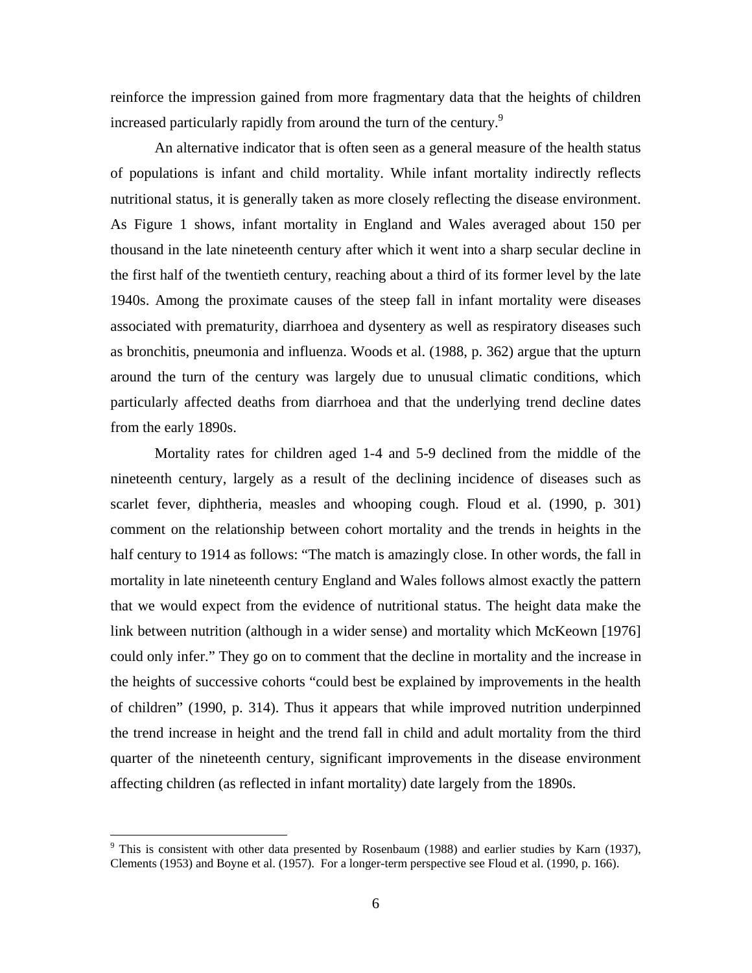reinforce the impression gained from more fragmentary data that the heights of children increased particularly rapidly from around the turn of the century.<sup>9</sup>

 An alternative indicator that is often seen as a general measure of the health status of populations is infant and child mortality. While infant mortality indirectly reflects nutritional status, it is generally taken as more closely reflecting the disease environment. As Figure 1 shows, infant mortality in England and Wales averaged about 150 per thousand in the late nineteenth century after which it went into a sharp secular decline in the first half of the twentieth century, reaching about a third of its former level by the late 1940s. Among the proximate causes of the steep fall in infant mortality were diseases associated with prematurity, diarrhoea and dysentery as well as respiratory diseases such as bronchitis, pneumonia and influenza. Woods et al. (1988, p. 362) argue that the upturn around the turn of the century was largely due to unusual climatic conditions, which particularly affected deaths from diarrhoea and that the underlying trend decline dates from the early 1890s.

Mortality rates for children aged 1-4 and 5-9 declined from the middle of the nineteenth century, largely as a result of the declining incidence of diseases such as scarlet fever, diphtheria, measles and whooping cough. Floud et al. (1990, p. 301) comment on the relationship between cohort mortality and the trends in heights in the half century to 1914 as follows: "The match is amazingly close. In other words, the fall in mortality in late nineteenth century England and Wales follows almost exactly the pattern that we would expect from the evidence of nutritional status. The height data make the link between nutrition (although in a wider sense) and mortality which McKeown [1976] could only infer." They go on to comment that the decline in mortality and the increase in the heights of successive cohorts "could best be explained by improvements in the health of children" (1990, p. 314). Thus it appears that while improved nutrition underpinned the trend increase in height and the trend fall in child and adult mortality from the third quarter of the nineteenth century, significant improvements in the disease environment affecting children (as reflected in infant mortality) date largely from the 1890s.

<sup>&</sup>lt;sup>9</sup> This is consistent with other data presented by Rosenbaum (1988) and earlier studies by Karn (1937), Clements (1953) and Boyne et al. (1957). For a longer-term perspective see Floud et al. (1990, p. 166).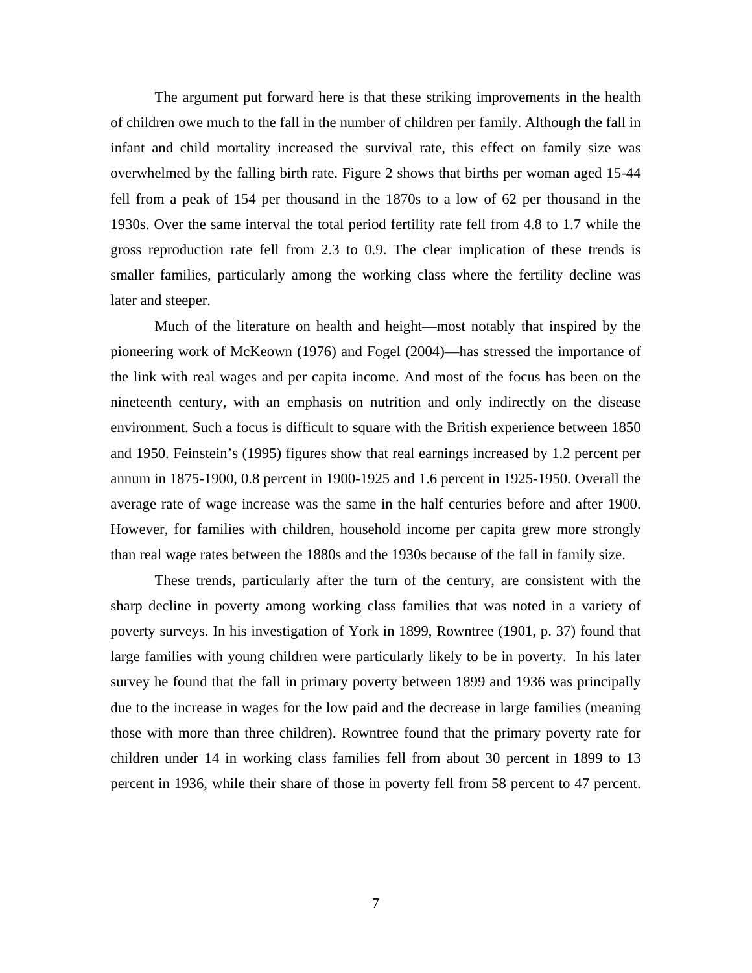The argument put forward here is that these striking improvements in the health of children owe much to the fall in the number of children per family. Although the fall in infant and child mortality increased the survival rate, this effect on family size was overwhelmed by the falling birth rate. Figure 2 shows that births per woman aged 15-44 fell from a peak of 154 per thousand in the 1870s to a low of 62 per thousand in the 1930s. Over the same interval the total period fertility rate fell from 4.8 to 1.7 while the gross reproduction rate fell from 2.3 to 0.9. The clear implication of these trends is smaller families, particularly among the working class where the fertility decline was later and steeper.

Much of the literature on health and height—most notably that inspired by the pioneering work of McKeown (1976) and Fogel (2004)—has stressed the importance of the link with real wages and per capita income. And most of the focus has been on the nineteenth century, with an emphasis on nutrition and only indirectly on the disease environment. Such a focus is difficult to square with the British experience between 1850 and 1950. Feinstein's (1995) figures show that real earnings increased by 1.2 percent per annum in 1875-1900, 0.8 percent in 1900-1925 and 1.6 percent in 1925-1950. Overall the average rate of wage increase was the same in the half centuries before and after 1900. However, for families with children, household income per capita grew more strongly than real wage rates between the 1880s and the 1930s because of the fall in family size.

These trends, particularly after the turn of the century, are consistent with the sharp decline in poverty among working class families that was noted in a variety of poverty surveys. In his investigation of York in 1899, Rowntree (1901, p. 37) found that large families with young children were particularly likely to be in poverty. In his later survey he found that the fall in primary poverty between 1899 and 1936 was principally due to the increase in wages for the low paid and the decrease in large families (meaning those with more than three children). Rowntree found that the primary poverty rate for children under 14 in working class families fell from about 30 percent in 1899 to 13 percent in 1936, while their share of those in poverty fell from 58 percent to 47 percent.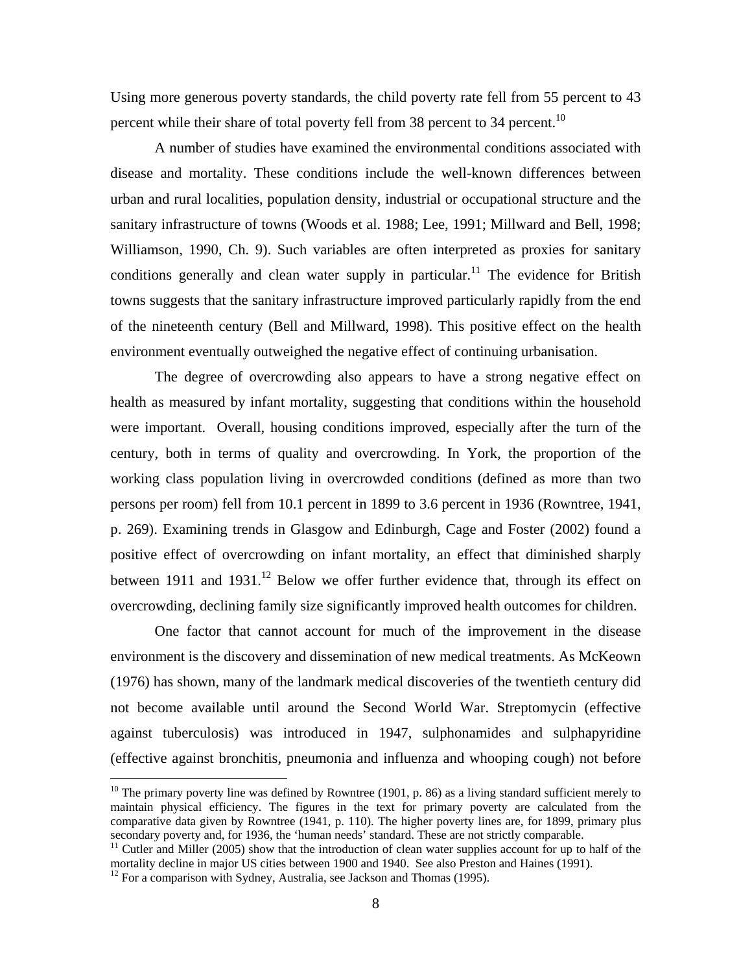Using more generous poverty standards, the child poverty rate fell from 55 percent to 43 percent while their share of total poverty fell from 38 percent to 34 percent.<sup>10</sup>

A number of studies have examined the environmental conditions associated with disease and mortality. These conditions include the well-known differences between urban and rural localities, population density, industrial or occupational structure and the sanitary infrastructure of towns (Woods et al. 1988; Lee, 1991; Millward and Bell, 1998; Williamson, 1990, Ch. 9). Such variables are often interpreted as proxies for sanitary conditions generally and clean water supply in particular.<sup>11</sup> The evidence for British towns suggests that the sanitary infrastructure improved particularly rapidly from the end of the nineteenth century (Bell and Millward, 1998). This positive effect on the health environment eventually outweighed the negative effect of continuing urbanisation.

The degree of overcrowding also appears to have a strong negative effect on health as measured by infant mortality, suggesting that conditions within the household were important. Overall, housing conditions improved, especially after the turn of the century, both in terms of quality and overcrowding. In York, the proportion of the working class population living in overcrowded conditions (defined as more than two persons per room) fell from 10.1 percent in 1899 to 3.6 percent in 1936 (Rowntree, 1941, p. 269). Examining trends in Glasgow and Edinburgh, Cage and Foster (2002) found a positive effect of overcrowding on infant mortality, an effect that diminished sharply between 1911 and 1931.<sup>12</sup> Below we offer further evidence that, through its effect on overcrowding, declining family size significantly improved health outcomes for children.

One factor that cannot account for much of the improvement in the disease environment is the discovery and dissemination of new medical treatments. As McKeown (1976) has shown, many of the landmark medical discoveries of the twentieth century did not become available until around the Second World War. Streptomycin (effective against tuberculosis) was introduced in 1947, sulphonamides and sulphapyridine (effective against bronchitis, pneumonia and influenza and whooping cough) not before

<sup>&</sup>lt;sup>10</sup> The primary poverty line was defined by Rowntree (1901, p. 86) as a living standard sufficient merely to maintain physical efficiency. The figures in the text for primary poverty are calculated from the comparative data given by Rowntree (1941, p. 110). The higher poverty lines are, for 1899, primary plus secondary poverty and, for 1936, the 'human needs' standard. These are not strictly comparable.

 $11$  Cutler and Miller (2005) show that the introduction of clean water supplies account for up to half of the mortality decline in major US cities between 1900 and 1940. See also Preston and Haines (1991).

 $12$  For a comparison with Sydney, Australia, see Jackson and Thomas (1995).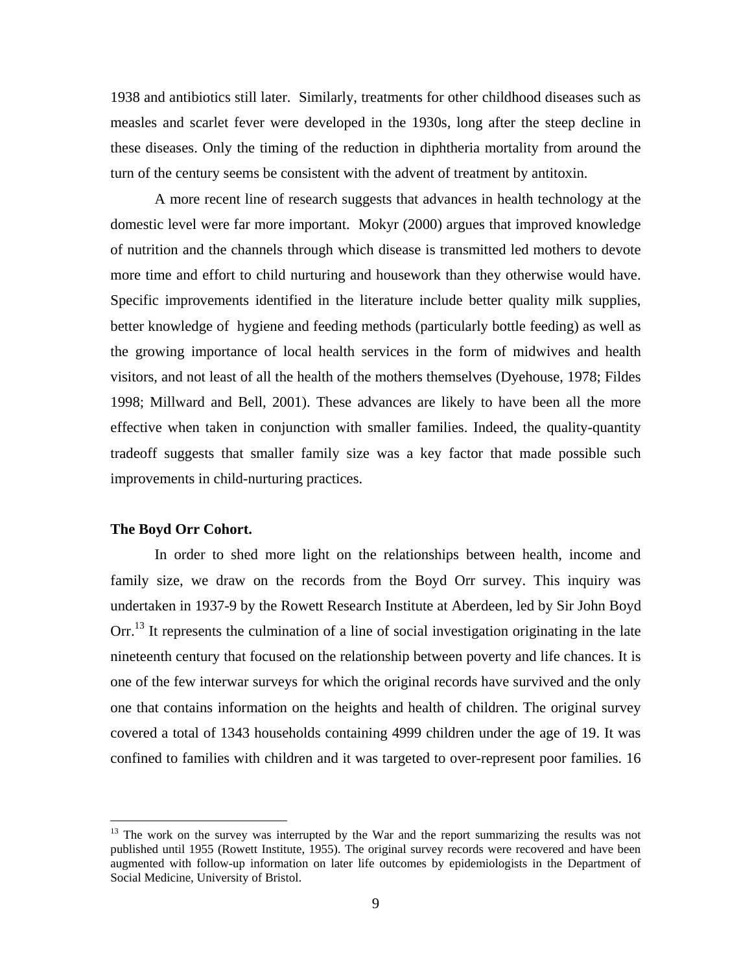1938 and antibiotics still later. Similarly, treatments for other childhood diseases such as measles and scarlet fever were developed in the 1930s, long after the steep decline in these diseases. Only the timing of the reduction in diphtheria mortality from around the turn of the century seems be consistent with the advent of treatment by antitoxin.

A more recent line of research suggests that advances in health technology at the domestic level were far more important. Mokyr (2000) argues that improved knowledge of nutrition and the channels through which disease is transmitted led mothers to devote more time and effort to child nurturing and housework than they otherwise would have. Specific improvements identified in the literature include better quality milk supplies, better knowledge of hygiene and feeding methods (particularly bottle feeding) as well as the growing importance of local health services in the form of midwives and health visitors, and not least of all the health of the mothers themselves (Dyehouse, 1978; Fildes 1998; Millward and Bell, 2001). These advances are likely to have been all the more effective when taken in conjunction with smaller families. Indeed, the quality-quantity tradeoff suggests that smaller family size was a key factor that made possible such improvements in child-nurturing practices.

#### **The Boyd Orr Cohort.**

 $\overline{a}$ 

In order to shed more light on the relationships between health, income and family size, we draw on the records from the Boyd Orr survey. This inquiry was undertaken in 1937-9 by the Rowett Research Institute at Aberdeen, led by Sir John Boyd Orr.<sup>13</sup> It represents the culmination of a line of social investigation originating in the late nineteenth century that focused on the relationship between poverty and life chances. It is one of the few interwar surveys for which the original records have survived and the only one that contains information on the heights and health of children. The original survey covered a total of 1343 households containing 4999 children under the age of 19. It was confined to families with children and it was targeted to over-represent poor families. 16

 $13$  The work on the survey was interrupted by the War and the report summarizing the results was not published until 1955 (Rowett Institute, 1955). The original survey records were recovered and have been augmented with follow-up information on later life outcomes by epidemiologists in the Department of Social Medicine, University of Bristol.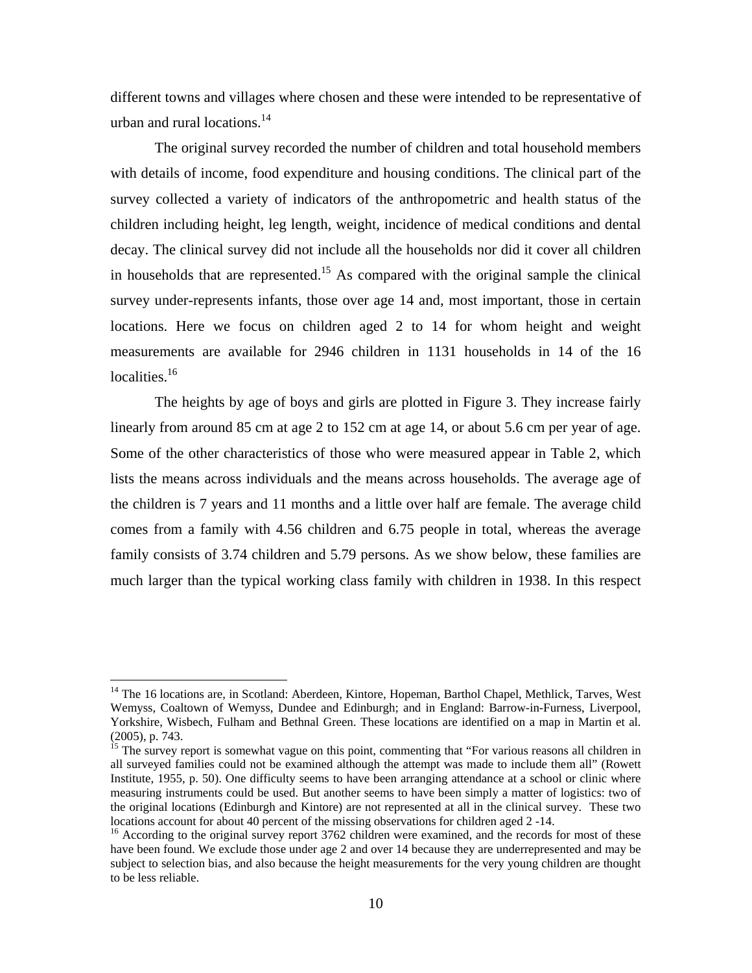different towns and villages where chosen and these were intended to be representative of urban and rural locations. $14$ 

The original survey recorded the number of children and total household members with details of income, food expenditure and housing conditions. The clinical part of the survey collected a variety of indicators of the anthropometric and health status of the children including height, leg length, weight, incidence of medical conditions and dental decay. The clinical survey did not include all the households nor did it cover all children in households that are represented.<sup>15</sup> As compared with the original sample the clinical survey under-represents infants, those over age 14 and, most important, those in certain locations. Here we focus on children aged 2 to 14 for whom height and weight measurements are available for 2946 children in 1131 households in 14 of the 16 localities.<sup>16</sup>

The heights by age of boys and girls are plotted in Figure 3. They increase fairly linearly from around 85 cm at age 2 to 152 cm at age 14, or about 5.6 cm per year of age. Some of the other characteristics of those who were measured appear in Table 2, which lists the means across individuals and the means across households. The average age of the children is 7 years and 11 months and a little over half are female. The average child comes from a family with 4.56 children and 6.75 people in total, whereas the average family consists of 3.74 children and 5.79 persons. As we show below, these families are much larger than the typical working class family with children in 1938. In this respect

1

<sup>&</sup>lt;sup>14</sup> The 16 locations are, in Scotland: Aberdeen, Kintore, Hopeman, Barthol Chapel, Methlick, Tarves, West Wemyss, Coaltown of Wemyss, Dundee and Edinburgh; and in England: Barrow-in-Furness, Liverpool, Yorkshire, Wisbech, Fulham and Bethnal Green. These locations are identified on a map in Martin et al. (2005), p. 743.

<sup>&</sup>lt;sup>15</sup> The survey report is somewhat vague on this point, commenting that "For various reasons all children in all surveyed families could not be examined although the attempt was made to include them all" (Rowett Institute, 1955, p. 50). One difficulty seems to have been arranging attendance at a school or clinic where measuring instruments could be used. But another seems to have been simply a matter of logistics: two of the original locations (Edinburgh and Kintore) are not represented at all in the clinical survey. These two locations account for about 40 percent of the missing observations for children aged 2 -14.<br><sup>16</sup> According to the original survey report 3762 children were examined, and the records for most of these

have been found. We exclude those under age 2 and over 14 because they are underrepresented and may be subject to selection bias, and also because the height measurements for the very young children are thought to be less reliable.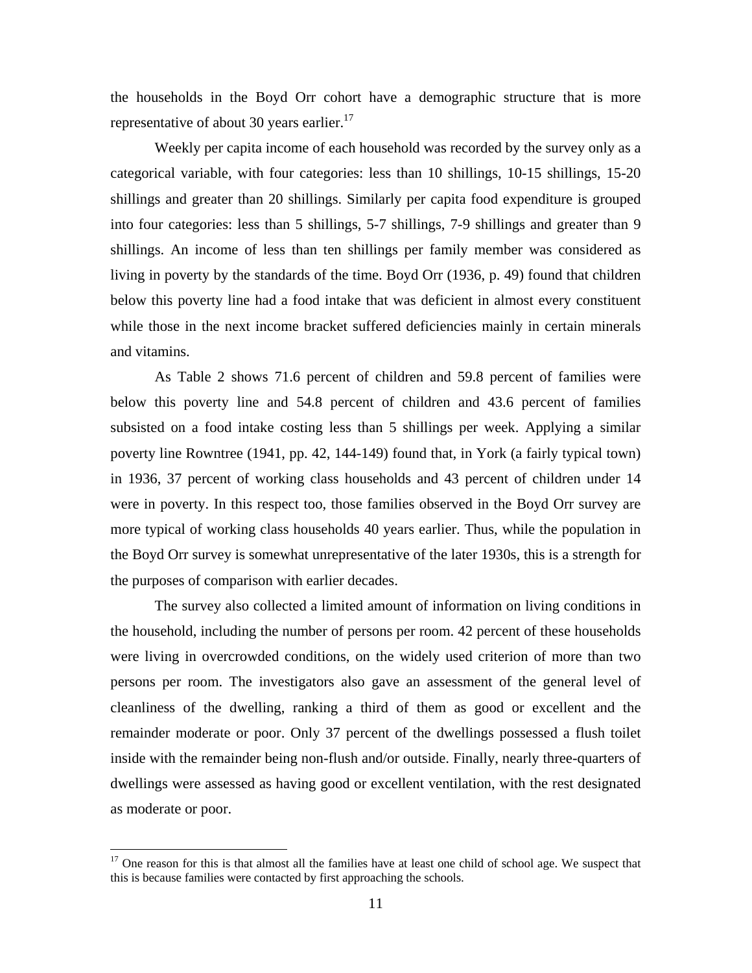the households in the Boyd Orr cohort have a demographic structure that is more representative of about 30 years earlier. $17$ 

Weekly per capita income of each household was recorded by the survey only as a categorical variable, with four categories: less than 10 shillings, 10-15 shillings, 15-20 shillings and greater than 20 shillings. Similarly per capita food expenditure is grouped into four categories: less than 5 shillings, 5-7 shillings, 7-9 shillings and greater than 9 shillings. An income of less than ten shillings per family member was considered as living in poverty by the standards of the time. Boyd Orr (1936, p. 49) found that children below this poverty line had a food intake that was deficient in almost every constituent while those in the next income bracket suffered deficiencies mainly in certain minerals and vitamins.

As Table 2 shows 71.6 percent of children and 59.8 percent of families were below this poverty line and 54.8 percent of children and 43.6 percent of families subsisted on a food intake costing less than 5 shillings per week. Applying a similar poverty line Rowntree (1941, pp. 42, 144-149) found that, in York (a fairly typical town) in 1936, 37 percent of working class households and 43 percent of children under 14 were in poverty. In this respect too, those families observed in the Boyd Orr survey are more typical of working class households 40 years earlier. Thus, while the population in the Boyd Orr survey is somewhat unrepresentative of the later 1930s, this is a strength for the purposes of comparison with earlier decades.

The survey also collected a limited amount of information on living conditions in the household, including the number of persons per room. 42 percent of these households were living in overcrowded conditions, on the widely used criterion of more than two persons per room. The investigators also gave an assessment of the general level of cleanliness of the dwelling, ranking a third of them as good or excellent and the remainder moderate or poor. Only 37 percent of the dwellings possessed a flush toilet inside with the remainder being non-flush and/or outside. Finally, nearly three-quarters of dwellings were assessed as having good or excellent ventilation, with the rest designated as moderate or poor.

<sup>&</sup>lt;sup>17</sup> One reason for this is that almost all the families have at least one child of school age. We suspect that this is because families were contacted by first approaching the schools.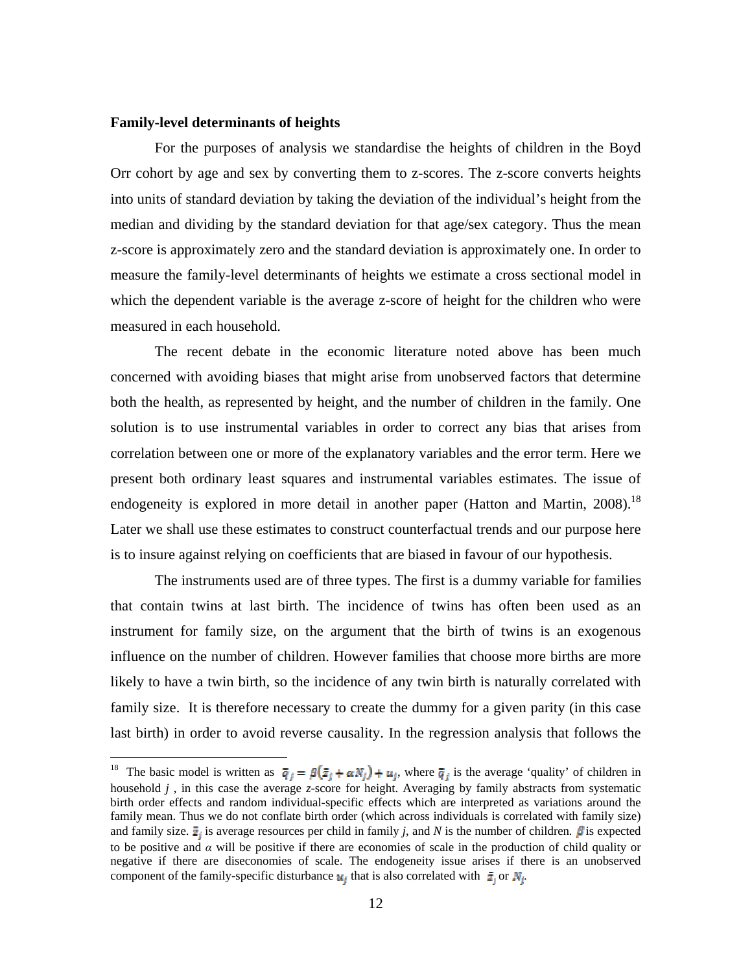#### **Family-level determinants of heights**

<u>.</u>

For the purposes of analysis we standardise the heights of children in the Boyd Orr cohort by age and sex by converting them to z-scores. The z-score converts heights into units of standard deviation by taking the deviation of the individual's height from the median and dividing by the standard deviation for that age/sex category. Thus the mean z-score is approximately zero and the standard deviation is approximately one. In order to measure the family-level determinants of heights we estimate a cross sectional model in which the dependent variable is the average z-score of height for the children who were measured in each household.

The recent debate in the economic literature noted above has been much concerned with avoiding biases that might arise from unobserved factors that determine both the health, as represented by height, and the number of children in the family. One solution is to use instrumental variables in order to correct any bias that arises from correlation between one or more of the explanatory variables and the error term. Here we present both ordinary least squares and instrumental variables estimates. The issue of endogeneity is explored in more detail in another paper (Hatton and Martin,  $2008$ ).<sup>18</sup> Later we shall use these estimates to construct counterfactual trends and our purpose here is to insure against relying on coefficients that are biased in favour of our hypothesis.

 The instruments used are of three types. The first is a dummy variable for families that contain twins at last birth. The incidence of twins has often been used as an instrument for family size, on the argument that the birth of twins is an exogenous influence on the number of children. However families that choose more births are more likely to have a twin birth, so the incidence of any twin birth is naturally correlated with family size. It is therefore necessary to create the dummy for a given parity (in this case last birth) in order to avoid reverse causality. In the regression analysis that follows the

<sup>&</sup>lt;sup>18</sup> The basic model is written as  $\bar{q}_i = \beta(\bar{z}_i + \alpha N_i) + u_i$ , where  $\bar{q}_i$  is the average 'quality' of children in household *j* , in this case the average *z*-score for height. Averaging by family abstracts from systematic birth order effects and random individual-specific effects which are interpreted as variations around the family mean. Thus we do not conflate birth order (which across individuals is correlated with family size) and family size.  $\bar{z}_i$  is average resources per child in family *j*, and *N* is the number of children.  $\beta$  is expected to be positive and *α* will be positive if there are economies of scale in the production of child quality or negative if there are diseconomies of scale. The endogeneity issue arises if there is an unobserved component of the family-specific disturbance  $u_j$  that is also correlated with  $\bar{z}_j$  or  $N_j$ .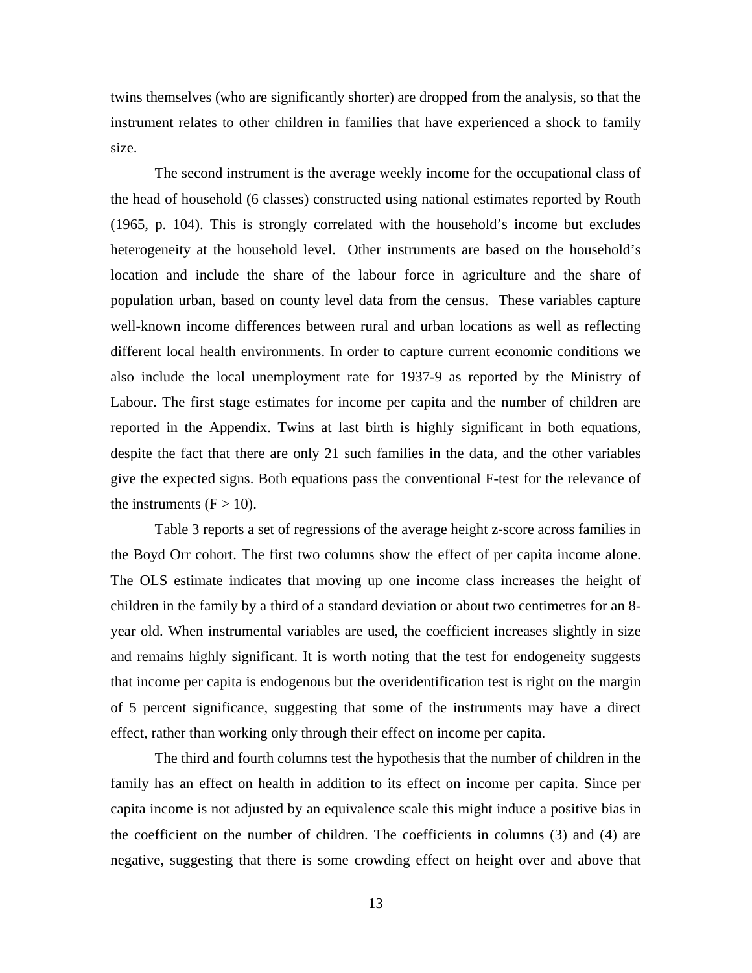twins themselves (who are significantly shorter) are dropped from the analysis, so that the instrument relates to other children in families that have experienced a shock to family size.

The second instrument is the average weekly income for the occupational class of the head of household (6 classes) constructed using national estimates reported by Routh (1965, p. 104). This is strongly correlated with the household's income but excludes heterogeneity at the household level. Other instruments are based on the household's location and include the share of the labour force in agriculture and the share of population urban, based on county level data from the census. These variables capture well-known income differences between rural and urban locations as well as reflecting different local health environments. In order to capture current economic conditions we also include the local unemployment rate for 1937-9 as reported by the Ministry of Labour. The first stage estimates for income per capita and the number of children are reported in the Appendix. Twins at last birth is highly significant in both equations, despite the fact that there are only 21 such families in the data, and the other variables give the expected signs. Both equations pass the conventional F-test for the relevance of the instruments  $(F > 10)$ .

 Table 3 reports a set of regressions of the average height z-score across families in the Boyd Orr cohort. The first two columns show the effect of per capita income alone. The OLS estimate indicates that moving up one income class increases the height of children in the family by a third of a standard deviation or about two centimetres for an 8 year old. When instrumental variables are used, the coefficient increases slightly in size and remains highly significant. It is worth noting that the test for endogeneity suggests that income per capita is endogenous but the overidentification test is right on the margin of 5 percent significance, suggesting that some of the instruments may have a direct effect, rather than working only through their effect on income per capita.

The third and fourth columns test the hypothesis that the number of children in the family has an effect on health in addition to its effect on income per capita. Since per capita income is not adjusted by an equivalence scale this might induce a positive bias in the coefficient on the number of children. The coefficients in columns (3) and (4) are negative, suggesting that there is some crowding effect on height over and above that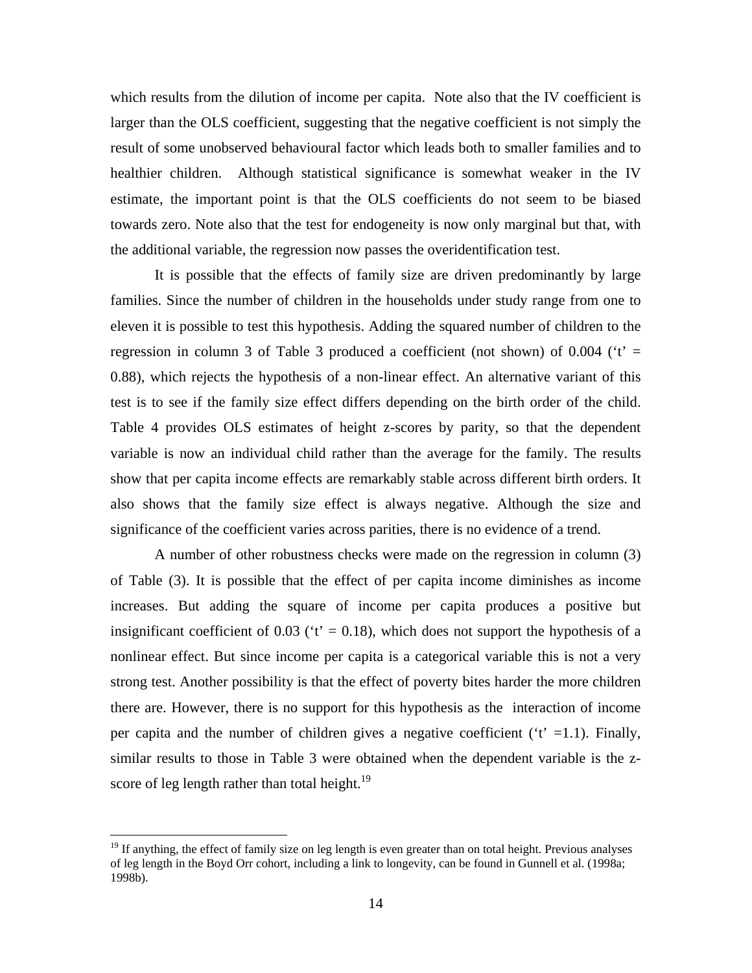which results from the dilution of income per capita. Note also that the IV coefficient is larger than the OLS coefficient, suggesting that the negative coefficient is not simply the result of some unobserved behavioural factor which leads both to smaller families and to healthier children. Although statistical significance is somewhat weaker in the IV estimate, the important point is that the OLS coefficients do not seem to be biased towards zero. Note also that the test for endogeneity is now only marginal but that, with the additional variable, the regression now passes the overidentification test.

It is possible that the effects of family size are driven predominantly by large families. Since the number of children in the households under study range from one to eleven it is possible to test this hypothesis. Adding the squared number of children to the regression in column 3 of Table 3 produced a coefficient (not shown) of  $0.004$  ('t' = 0.88), which rejects the hypothesis of a non-linear effect. An alternative variant of this test is to see if the family size effect differs depending on the birth order of the child. Table 4 provides OLS estimates of height z-scores by parity, so that the dependent variable is now an individual child rather than the average for the family. The results show that per capita income effects are remarkably stable across different birth orders. It also shows that the family size effect is always negative. Although the size and significance of the coefficient varies across parities, there is no evidence of a trend.

A number of other robustness checks were made on the regression in column (3) of Table (3). It is possible that the effect of per capita income diminishes as income increases. But adding the square of income per capita produces a positive but insignificant coefficient of 0.03 ( $t' = 0.18$ ), which does not support the hypothesis of a nonlinear effect. But since income per capita is a categorical variable this is not a very strong test. Another possibility is that the effect of poverty bites harder the more children there are. However, there is no support for this hypothesis as the interaction of income per capita and the number of children gives a negative coefficient ( $t = 1.1$ ). Finally, similar results to those in Table 3 were obtained when the dependent variable is the zscore of leg length rather than total height. $19$ 

<sup>&</sup>lt;sup>19</sup> If anything, the effect of family size on leg length is even greater than on total height. Previous analyses of leg length in the Boyd Orr cohort, including a link to longevity, can be found in Gunnell et al. (1998a; 1998b).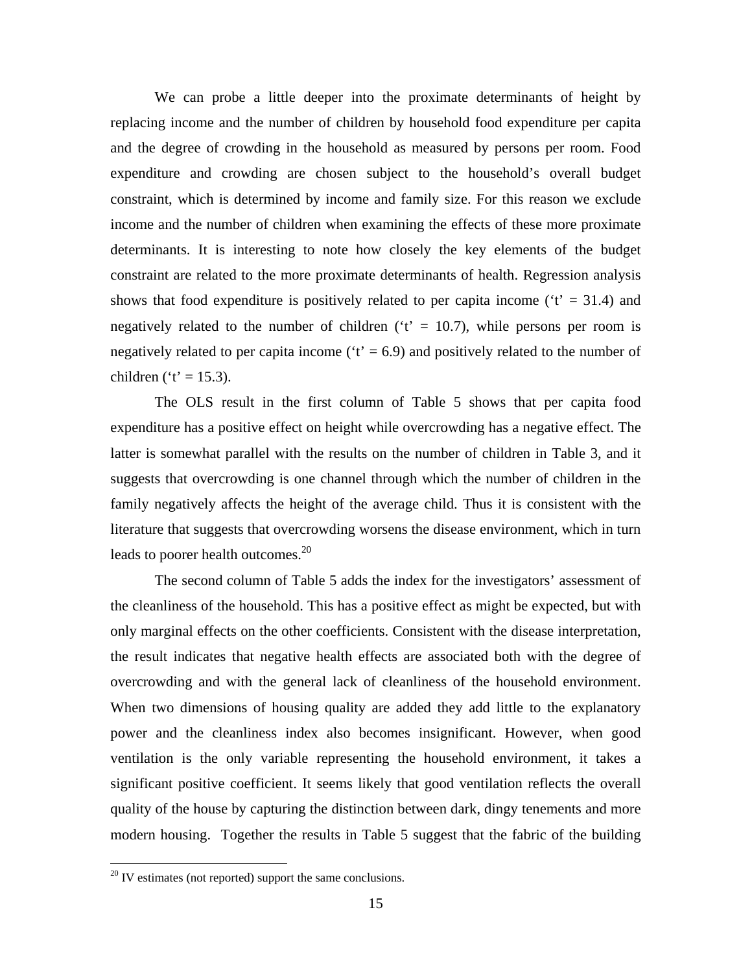We can probe a little deeper into the proximate determinants of height by replacing income and the number of children by household food expenditure per capita and the degree of crowding in the household as measured by persons per room. Food expenditure and crowding are chosen subject to the household's overall budget constraint, which is determined by income and family size. For this reason we exclude income and the number of children when examining the effects of these more proximate determinants. It is interesting to note how closely the key elements of the budget constraint are related to the more proximate determinants of health. Regression analysis shows that food expenditure is positively related to per capita income ( $t = 31.4$ ) and negatively related to the number of children ( $t' = 10.7$ ), while persons per room is negatively related to per capita income ( $t' = 6.9$ ) and positively related to the number of children ('t' = 15.3).

The OLS result in the first column of Table 5 shows that per capita food expenditure has a positive effect on height while overcrowding has a negative effect. The latter is somewhat parallel with the results on the number of children in Table 3, and it suggests that overcrowding is one channel through which the number of children in the family negatively affects the height of the average child. Thus it is consistent with the literature that suggests that overcrowding worsens the disease environment, which in turn leads to poorer health outcomes.<sup>20</sup>

The second column of Table 5 adds the index for the investigators' assessment of the cleanliness of the household. This has a positive effect as might be expected, but with only marginal effects on the other coefficients. Consistent with the disease interpretation, the result indicates that negative health effects are associated both with the degree of overcrowding and with the general lack of cleanliness of the household environment. When two dimensions of housing quality are added they add little to the explanatory power and the cleanliness index also becomes insignificant. However, when good ventilation is the only variable representing the household environment, it takes a significant positive coefficient. It seems likely that good ventilation reflects the overall quality of the house by capturing the distinction between dark, dingy tenements and more modern housing. Together the results in Table 5 suggest that the fabric of the building

 $20$  IV estimates (not reported) support the same conclusions.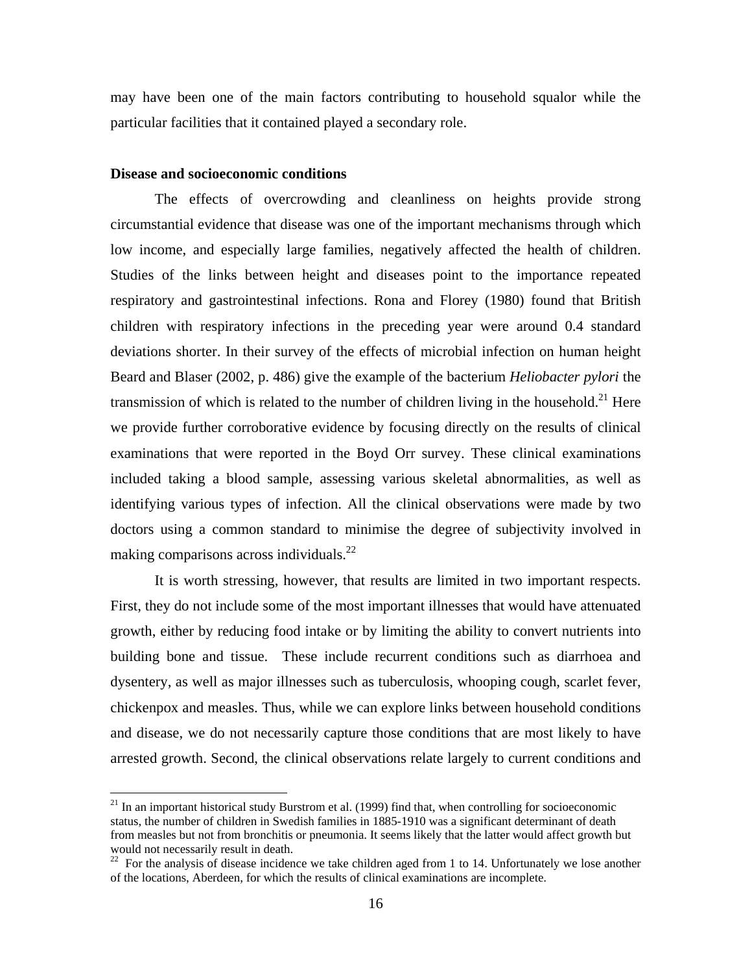may have been one of the main factors contributing to household squalor while the particular facilities that it contained played a secondary role.

#### **Disease and socioeconomic conditions**

 $\overline{a}$ 

The effects of overcrowding and cleanliness on heights provide strong circumstantial evidence that disease was one of the important mechanisms through which low income, and especially large families, negatively affected the health of children. Studies of the links between height and diseases point to the importance repeated respiratory and gastrointestinal infections. Rona and Florey (1980) found that British children with respiratory infections in the preceding year were around 0.4 standard deviations shorter. In their survey of the effects of microbial infection on human height Beard and Blaser (2002, p. 486) give the example of the bacterium *Heliobacter pylori* the transmission of which is related to the number of children living in the household.<sup>21</sup> Here we provide further corroborative evidence by focusing directly on the results of clinical examinations that were reported in the Boyd Orr survey. These clinical examinations included taking a blood sample, assessing various skeletal abnormalities, as well as identifying various types of infection. All the clinical observations were made by two doctors using a common standard to minimise the degree of subjectivity involved in making comparisons across individuals.<sup>22</sup>

It is worth stressing, however, that results are limited in two important respects. First, they do not include some of the most important illnesses that would have attenuated growth, either by reducing food intake or by limiting the ability to convert nutrients into building bone and tissue. These include recurrent conditions such as diarrhoea and dysentery, as well as major illnesses such as tuberculosis, whooping cough, scarlet fever, chickenpox and measles. Thus, while we can explore links between household conditions and disease, we do not necessarily capture those conditions that are most likely to have arrested growth. Second, the clinical observations relate largely to current conditions and

 $21$  In an important historical study Burstrom et al. (1999) find that, when controlling for socioeconomic status, the number of children in Swedish families in 1885-1910 was a significant determinant of death from measles but not from bronchitis or pneumonia. It seems likely that the latter would affect growth but would not necessarily result in death.

<sup>&</sup>lt;sup>22</sup> For the analysis of disease incidence we take children aged from 1 to 14. Unfortunately we lose another of the locations, Aberdeen, for which the results of clinical examinations are incomplete.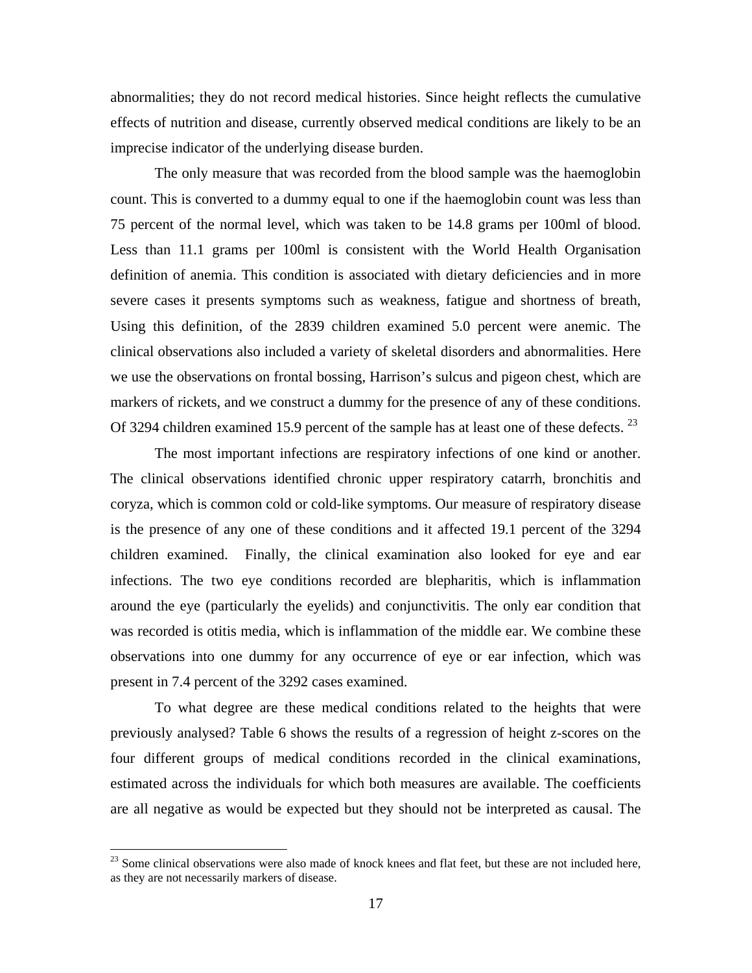abnormalities; they do not record medical histories. Since height reflects the cumulative effects of nutrition and disease, currently observed medical conditions are likely to be an imprecise indicator of the underlying disease burden.

The only measure that was recorded from the blood sample was the haemoglobin count. This is converted to a dummy equal to one if the haemoglobin count was less than 75 percent of the normal level, which was taken to be 14.8 grams per 100ml of blood. Less than 11.1 grams per 100ml is consistent with the World Health Organisation definition of anemia. This condition is associated with dietary deficiencies and in more severe cases it presents symptoms such as weakness, fatigue and shortness of breath, Using this definition, of the 2839 children examined 5.0 percent were anemic. The clinical observations also included a variety of skeletal disorders and abnormalities. Here we use the observations on frontal bossing, Harrison's sulcus and pigeon chest, which are markers of rickets, and we construct a dummy for the presence of any of these conditions. Of 3294 children examined 15.9 percent of the sample has at least one of these defects.<sup>23</sup>

The most important infections are respiratory infections of one kind or another. The clinical observations identified chronic upper respiratory catarrh, bronchitis and coryza, which is common cold or cold-like symptoms. Our measure of respiratory disease is the presence of any one of these conditions and it affected 19.1 percent of the 3294 children examined. Finally, the clinical examination also looked for eye and ear infections. The two eye conditions recorded are blepharitis, which is inflammation around the eye (particularly the eyelids) and conjunctivitis. The only ear condition that was recorded is otitis media, which is inflammation of the middle ear. We combine these observations into one dummy for any occurrence of eye or ear infection, which was present in 7.4 percent of the 3292 cases examined.

To what degree are these medical conditions related to the heights that were previously analysed? Table 6 shows the results of a regression of height z-scores on the four different groups of medical conditions recorded in the clinical examinations, estimated across the individuals for which both measures are available. The coefficients are all negative as would be expected but they should not be interpreted as causal. The

1

<sup>&</sup>lt;sup>23</sup> Some clinical observations were also made of knock knees and flat feet, but these are not included here, as they are not necessarily markers of disease.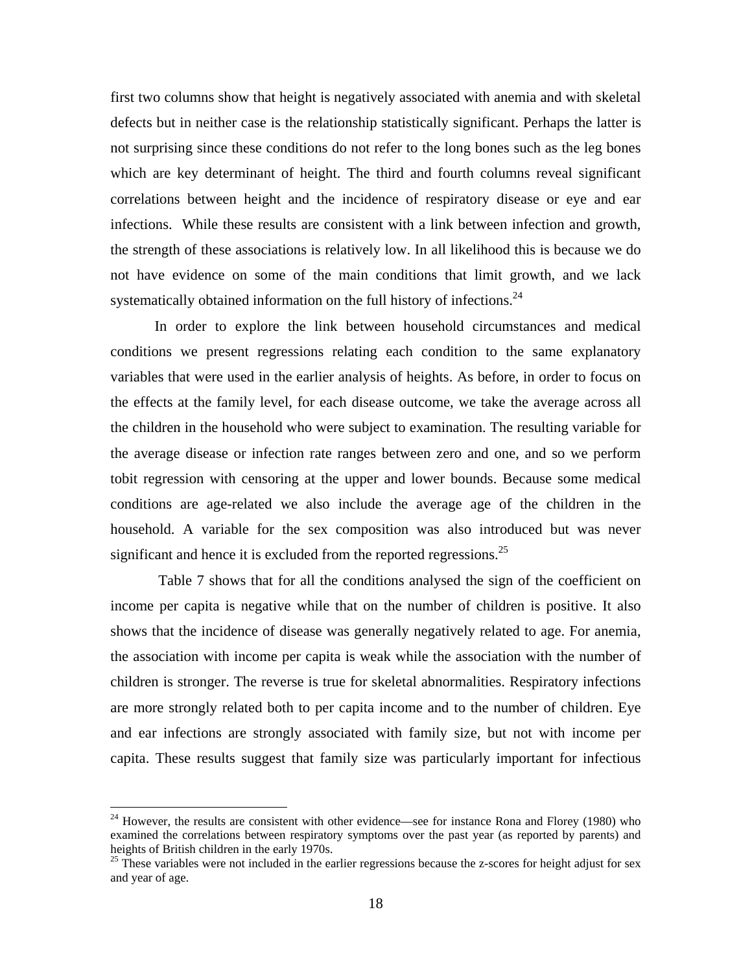first two columns show that height is negatively associated with anemia and with skeletal defects but in neither case is the relationship statistically significant. Perhaps the latter is not surprising since these conditions do not refer to the long bones such as the leg bones which are key determinant of height. The third and fourth columns reveal significant correlations between height and the incidence of respiratory disease or eye and ear infections. While these results are consistent with a link between infection and growth, the strength of these associations is relatively low. In all likelihood this is because we do not have evidence on some of the main conditions that limit growth, and we lack systematically obtained information on the full history of infections. $^{24}$ 

In order to explore the link between household circumstances and medical conditions we present regressions relating each condition to the same explanatory variables that were used in the earlier analysis of heights. As before, in order to focus on the effects at the family level, for each disease outcome, we take the average across all the children in the household who were subject to examination. The resulting variable for the average disease or infection rate ranges between zero and one, and so we perform tobit regression with censoring at the upper and lower bounds. Because some medical conditions are age-related we also include the average age of the children in the household. A variable for the sex composition was also introduced but was never significant and hence it is excluded from the reported regressions.<sup>25</sup>

 Table 7 shows that for all the conditions analysed the sign of the coefficient on income per capita is negative while that on the number of children is positive. It also shows that the incidence of disease was generally negatively related to age. For anemia, the association with income per capita is weak while the association with the number of children is stronger. The reverse is true for skeletal abnormalities. Respiratory infections are more strongly related both to per capita income and to the number of children. Eye and ear infections are strongly associated with family size, but not with income per capita. These results suggest that family size was particularly important for infectious

 $24$  However, the results are consistent with other evidence—see for instance Rona and Florey (1980) who examined the correlations between respiratory symptoms over the past year (as reported by parents) and heights of British children in the early 1970s.

<sup>&</sup>lt;sup>25</sup> These variables were not included in the earlier regressions because the z-scores for height adjust for sex and year of age.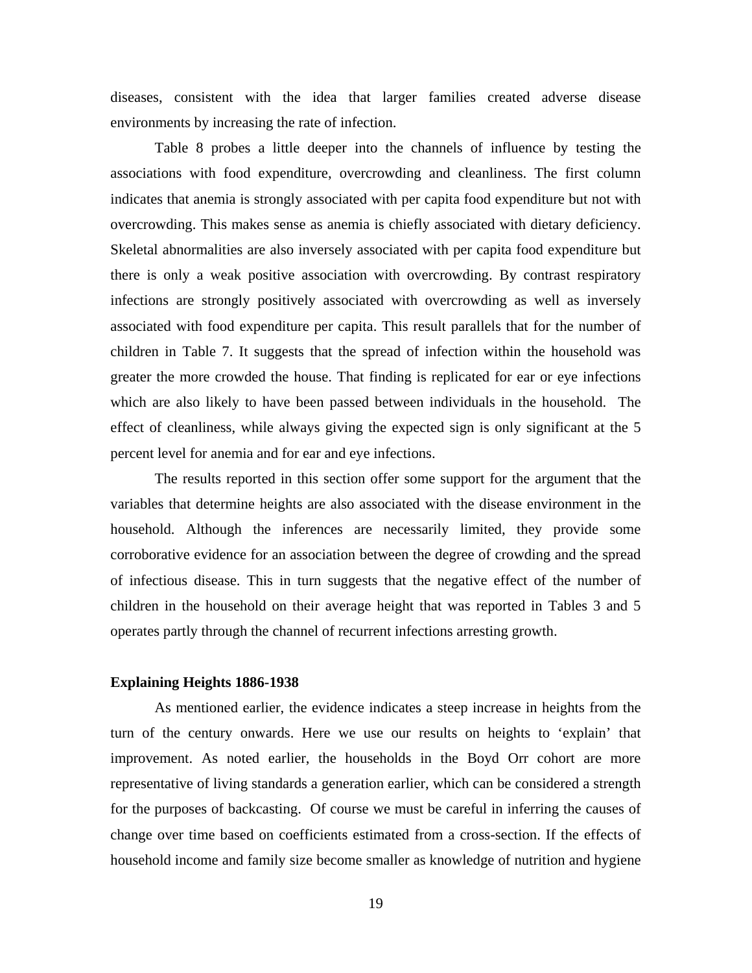diseases, consistent with the idea that larger families created adverse disease environments by increasing the rate of infection.

Table 8 probes a little deeper into the channels of influence by testing the associations with food expenditure, overcrowding and cleanliness. The first column indicates that anemia is strongly associated with per capita food expenditure but not with overcrowding. This makes sense as anemia is chiefly associated with dietary deficiency. Skeletal abnormalities are also inversely associated with per capita food expenditure but there is only a weak positive association with overcrowding. By contrast respiratory infections are strongly positively associated with overcrowding as well as inversely associated with food expenditure per capita. This result parallels that for the number of children in Table 7. It suggests that the spread of infection within the household was greater the more crowded the house. That finding is replicated for ear or eye infections which are also likely to have been passed between individuals in the household. The effect of cleanliness, while always giving the expected sign is only significant at the 5 percent level for anemia and for ear and eye infections.

The results reported in this section offer some support for the argument that the variables that determine heights are also associated with the disease environment in the household. Although the inferences are necessarily limited, they provide some corroborative evidence for an association between the degree of crowding and the spread of infectious disease. This in turn suggests that the negative effect of the number of children in the household on their average height that was reported in Tables 3 and 5 operates partly through the channel of recurrent infections arresting growth.

#### **Explaining Heights 1886-1938**

 As mentioned earlier, the evidence indicates a steep increase in heights from the turn of the century onwards. Here we use our results on heights to 'explain' that improvement. As noted earlier, the households in the Boyd Orr cohort are more representative of living standards a generation earlier, which can be considered a strength for the purposes of backcasting. Of course we must be careful in inferring the causes of change over time based on coefficients estimated from a cross-section. If the effects of household income and family size become smaller as knowledge of nutrition and hygiene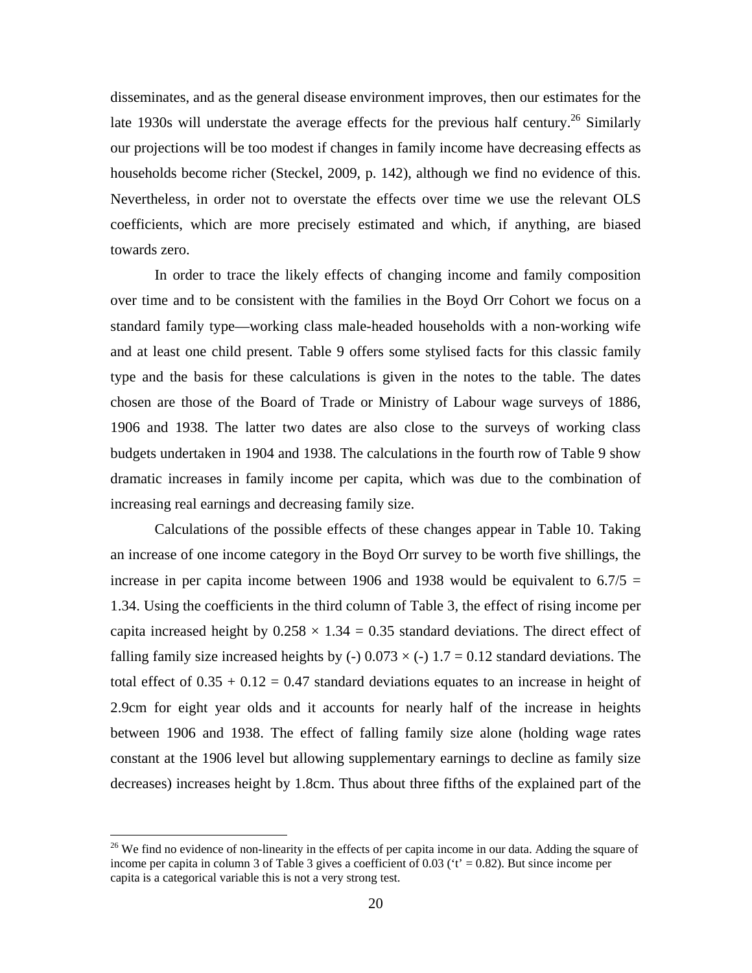disseminates, and as the general disease environment improves, then our estimates for the late 1930s will understate the average effects for the previous half century.<sup>26</sup> Similarly our projections will be too modest if changes in family income have decreasing effects as households become richer (Steckel, 2009, p. 142), although we find no evidence of this. Nevertheless, in order not to overstate the effects over time we use the relevant OLS coefficients, which are more precisely estimated and which, if anything, are biased towards zero.

 In order to trace the likely effects of changing income and family composition over time and to be consistent with the families in the Boyd Orr Cohort we focus on a standard family type—working class male-headed households with a non-working wife and at least one child present. Table 9 offers some stylised facts for this classic family type and the basis for these calculations is given in the notes to the table. The dates chosen are those of the Board of Trade or Ministry of Labour wage surveys of 1886, 1906 and 1938. The latter two dates are also close to the surveys of working class budgets undertaken in 1904 and 1938. The calculations in the fourth row of Table 9 show dramatic increases in family income per capita, which was due to the combination of increasing real earnings and decreasing family size.

Calculations of the possible effects of these changes appear in Table 10. Taking an increase of one income category in the Boyd Orr survey to be worth five shillings, the increase in per capita income between 1906 and 1938 would be equivalent to  $6.7/5 =$ 1.34. Using the coefficients in the third column of Table 3, the effect of rising income per capita increased height by  $0.258 \times 1.34 = 0.35$  standard deviations. The direct effect of falling family size increased heights by (-)  $0.073 \times$  (-)  $1.7 = 0.12$  standard deviations. The total effect of  $0.35 + 0.12 = 0.47$  standard deviations equates to an increase in height of 2.9cm for eight year olds and it accounts for nearly half of the increase in heights between 1906 and 1938. The effect of falling family size alone (holding wage rates constant at the 1906 level but allowing supplementary earnings to decline as family size decreases) increases height by 1.8cm. Thus about three fifths of the explained part of the

<sup>&</sup>lt;sup>26</sup> We find no evidence of non-linearity in the effects of per capita income in our data. Adding the square of income per capita in column 3 of Table 3 gives a coefficient of 0.03 ( $t' = 0.82$ ). But since income per capita is a categorical variable this is not a very strong test.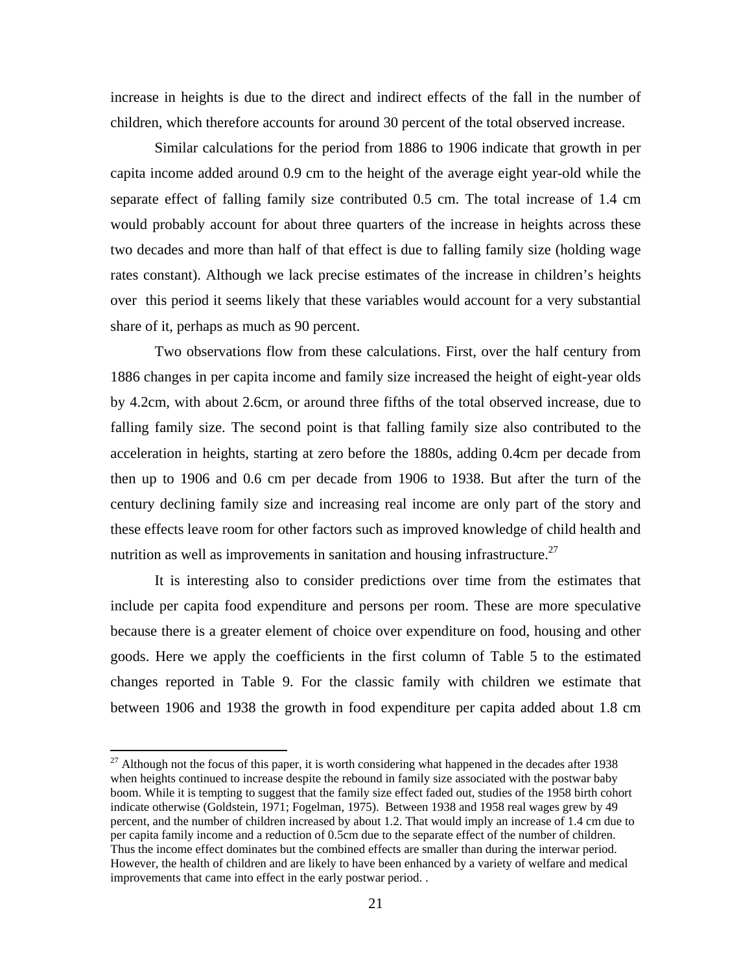increase in heights is due to the direct and indirect effects of the fall in the number of children, which therefore accounts for around 30 percent of the total observed increase.

Similar calculations for the period from 1886 to 1906 indicate that growth in per capita income added around 0.9 cm to the height of the average eight year-old while the separate effect of falling family size contributed 0.5 cm. The total increase of 1.4 cm would probably account for about three quarters of the increase in heights across these two decades and more than half of that effect is due to falling family size (holding wage rates constant). Although we lack precise estimates of the increase in children's heights over this period it seems likely that these variables would account for a very substantial share of it, perhaps as much as 90 percent.

Two observations flow from these calculations. First, over the half century from 1886 changes in per capita income and family size increased the height of eight-year olds by 4.2cm, with about 2.6cm, or around three fifths of the total observed increase, due to falling family size. The second point is that falling family size also contributed to the acceleration in heights, starting at zero before the 1880s, adding 0.4cm per decade from then up to 1906 and 0.6 cm per decade from 1906 to 1938. But after the turn of the century declining family size and increasing real income are only part of the story and these effects leave room for other factors such as improved knowledge of child health and nutrition as well as improvements in sanitation and housing infrastructure.<sup>27</sup>

It is interesting also to consider predictions over time from the estimates that include per capita food expenditure and persons per room. These are more speculative because there is a greater element of choice over expenditure on food, housing and other goods. Here we apply the coefficients in the first column of Table 5 to the estimated changes reported in Table 9. For the classic family with children we estimate that between 1906 and 1938 the growth in food expenditure per capita added about 1.8 cm

 $27$  Although not the focus of this paper, it is worth considering what happened in the decades after 1938 when heights continued to increase despite the rebound in family size associated with the postwar baby boom. While it is tempting to suggest that the family size effect faded out, studies of the 1958 birth cohort indicate otherwise (Goldstein, 1971; Fogelman, 1975). Between 1938 and 1958 real wages grew by 49 percent, and the number of children increased by about 1.2. That would imply an increase of 1.4 cm due to per capita family income and a reduction of 0.5cm due to the separate effect of the number of children. Thus the income effect dominates but the combined effects are smaller than during the interwar period. However, the health of children and are likely to have been enhanced by a variety of welfare and medical improvements that came into effect in the early postwar period. .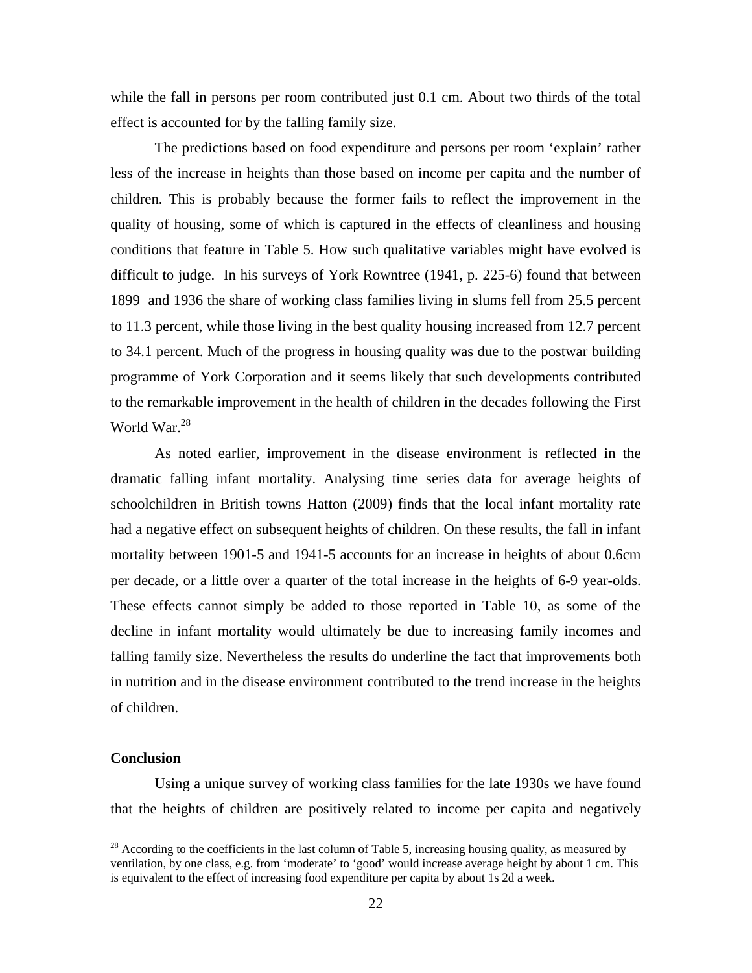while the fall in persons per room contributed just 0.1 cm. About two thirds of the total effect is accounted for by the falling family size.

The predictions based on food expenditure and persons per room 'explain' rather less of the increase in heights than those based on income per capita and the number of children. This is probably because the former fails to reflect the improvement in the quality of housing, some of which is captured in the effects of cleanliness and housing conditions that feature in Table 5. How such qualitative variables might have evolved is difficult to judge. In his surveys of York Rowntree (1941, p. 225-6) found that between 1899 and 1936 the share of working class families living in slums fell from 25.5 percent to 11.3 percent, while those living in the best quality housing increased from 12.7 percent to 34.1 percent. Much of the progress in housing quality was due to the postwar building programme of York Corporation and it seems likely that such developments contributed to the remarkable improvement in the health of children in the decades following the First World War. $^{28}$ 

As noted earlier, improvement in the disease environment is reflected in the dramatic falling infant mortality. Analysing time series data for average heights of schoolchildren in British towns Hatton (2009) finds that the local infant mortality rate had a negative effect on subsequent heights of children. On these results, the fall in infant mortality between 1901-5 and 1941-5 accounts for an increase in heights of about 0.6cm per decade, or a little over a quarter of the total increase in the heights of 6-9 year-olds. These effects cannot simply be added to those reported in Table 10, as some of the decline in infant mortality would ultimately be due to increasing family incomes and falling family size. Nevertheless the results do underline the fact that improvements both in nutrition and in the disease environment contributed to the trend increase in the heights of children.

#### **Conclusion**

 $\overline{a}$ 

Using a unique survey of working class families for the late 1930s we have found that the heights of children are positively related to income per capita and negatively

 $^{28}$  According to the coefficients in the last column of Table 5, increasing housing quality, as measured by ventilation, by one class, e.g. from 'moderate' to 'good' would increase average height by about 1 cm. This is equivalent to the effect of increasing food expenditure per capita by about 1s 2d a week.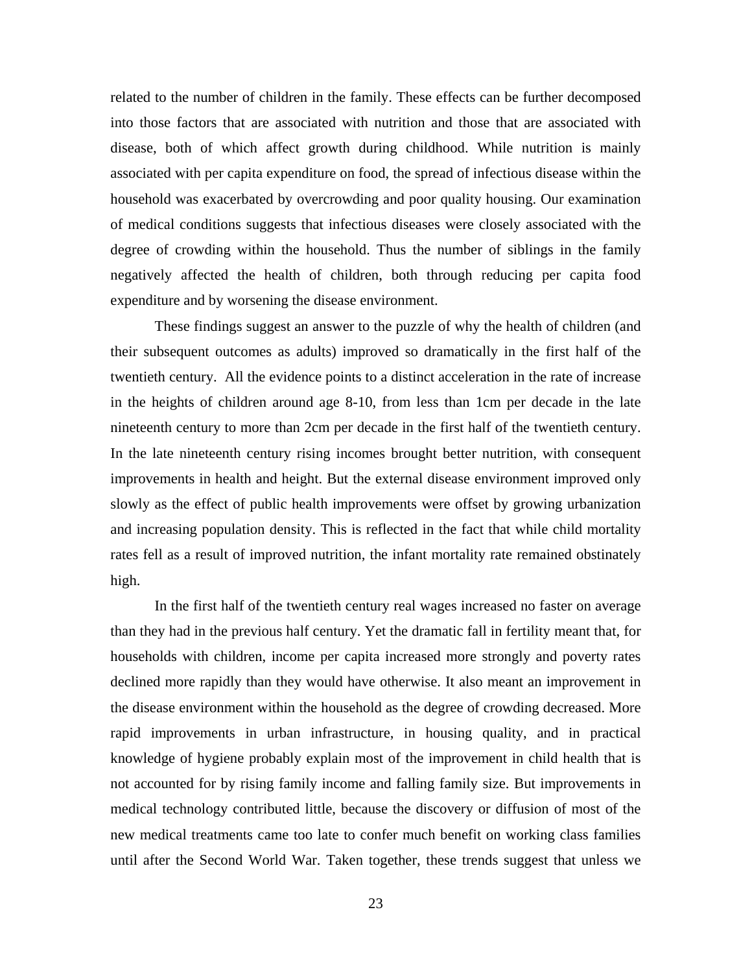related to the number of children in the family. These effects can be further decomposed into those factors that are associated with nutrition and those that are associated with disease, both of which affect growth during childhood. While nutrition is mainly associated with per capita expenditure on food, the spread of infectious disease within the household was exacerbated by overcrowding and poor quality housing. Our examination of medical conditions suggests that infectious diseases were closely associated with the degree of crowding within the household. Thus the number of siblings in the family negatively affected the health of children, both through reducing per capita food expenditure and by worsening the disease environment.

These findings suggest an answer to the puzzle of why the health of children (and their subsequent outcomes as adults) improved so dramatically in the first half of the twentieth century. All the evidence points to a distinct acceleration in the rate of increase in the heights of children around age 8-10, from less than 1cm per decade in the late nineteenth century to more than 2cm per decade in the first half of the twentieth century. In the late nineteenth century rising incomes brought better nutrition, with consequent improvements in health and height. But the external disease environment improved only slowly as the effect of public health improvements were offset by growing urbanization and increasing population density. This is reflected in the fact that while child mortality rates fell as a result of improved nutrition, the infant mortality rate remained obstinately high.

In the first half of the twentieth century real wages increased no faster on average than they had in the previous half century. Yet the dramatic fall in fertility meant that, for households with children, income per capita increased more strongly and poverty rates declined more rapidly than they would have otherwise. It also meant an improvement in the disease environment within the household as the degree of crowding decreased. More rapid improvements in urban infrastructure, in housing quality, and in practical knowledge of hygiene probably explain most of the improvement in child health that is not accounted for by rising family income and falling family size. But improvements in medical technology contributed little, because the discovery or diffusion of most of the new medical treatments came too late to confer much benefit on working class families until after the Second World War. Taken together, these trends suggest that unless we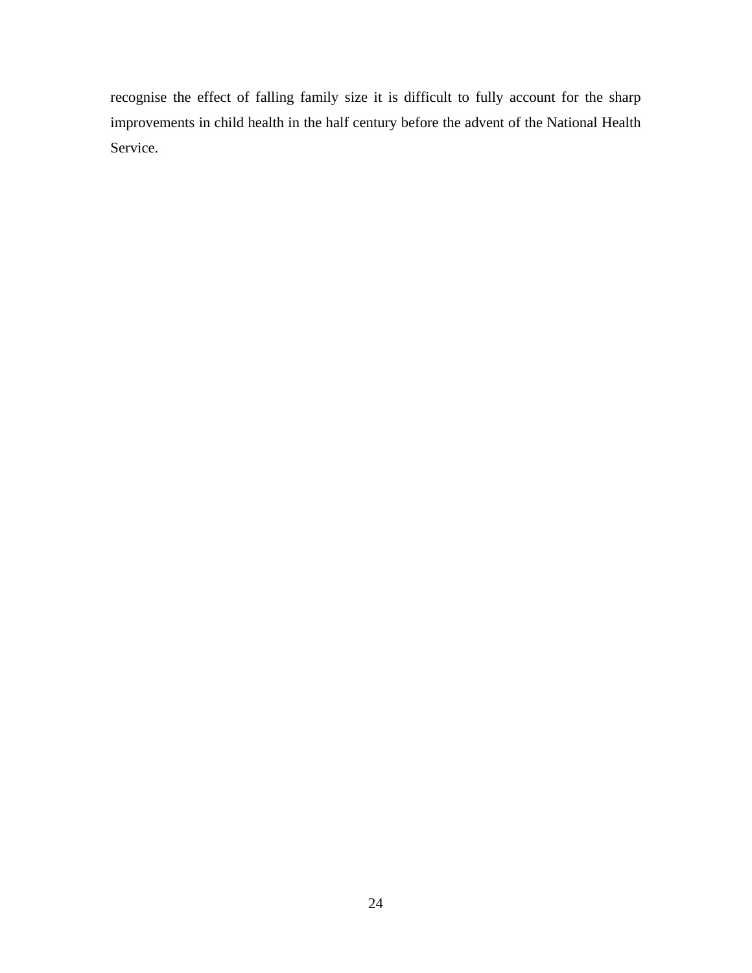recognise the effect of falling family size it is difficult to fully account for the sharp improvements in child health in the half century before the advent of the National Health Service.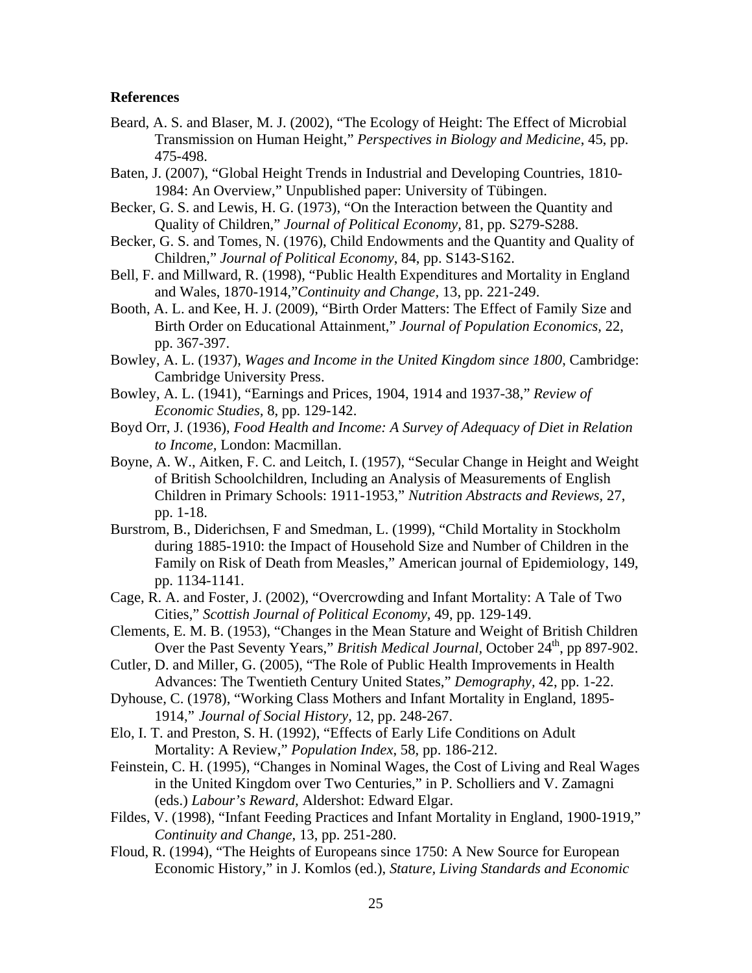#### **References**

- Beard, A. S. and Blaser, M. J. (2002), "The Ecology of Height: The Effect of Microbial Transmission on Human Height," *Perspectives in Biology and Medicine*, 45, pp. 475-498.
- Baten, J. (2007), "Global Height Trends in Industrial and Developing Countries, 1810- 1984: An Overview," Unpublished paper: University of Tübingen.
- Becker, G. S. and Lewis, H. G. (1973), "On the Interaction between the Quantity and Quality of Children," *Journal of Political Economy,* 81, pp. S279-S288.
- Becker, G. S. and Tomes, N. (1976), Child Endowments and the Quantity and Quality of Children," *Journal of Political Economy*, 84, pp. S143-S162.
- Bell, F. and Millward, R. (1998), "Public Health Expenditures and Mortality in England and Wales, 1870-1914,"*Continuity and Change,* 13, pp. 221-249.
- Booth, A. L. and Kee, H. J. (2009), "Birth Order Matters: The Effect of Family Size and Birth Order on Educational Attainment," *Journal of Population Economics,* 22, pp. 367-397.
- Bowley, A. L. (1937), *Wages and Income in the United Kingdom since 1800*, Cambridge: Cambridge University Press.
- Bowley, A. L. (1941), "Earnings and Prices, 1904, 1914 and 1937-38," *Review of Economic Studies,* 8, pp. 129-142.
- Boyd Orr, J. (1936), *Food Health and Income: A Survey of Adequacy of Diet in Relation to Income,* London: Macmillan.
- Boyne, A. W., Aitken, F. C. and Leitch, I. (1957), "Secular Change in Height and Weight of British Schoolchildren, Including an Analysis of Measurements of English Children in Primary Schools: 1911-1953," *Nutrition Abstracts and Reviews,* 27, pp. 1-18.
- Burstrom, B., Diderichsen, F and Smedman, L. (1999), "Child Mortality in Stockholm during 1885-1910: the Impact of Household Size and Number of Children in the Family on Risk of Death from Measles," American journal of Epidemiology, 149, pp. 1134-1141.
- Cage, R. A. and Foster, J. (2002), "Overcrowding and Infant Mortality: A Tale of Two Cities," *Scottish Journal of Political Economy*, 49, pp. 129-149.
- Clements, E. M. B. (1953), "Changes in the Mean Stature and Weight of British Children Over the Past Seventy Years," *British Medical Journal*, October 24<sup>th</sup>, pp 897-902.
- Cutler, D. and Miller, G. (2005), "The Role of Public Health Improvements in Health Advances: The Twentieth Century United States," *Demography,* 42, pp. 1-22.
- Dyhouse, C. (1978), "Working Class Mothers and Infant Mortality in England, 1895- 1914," *Journal of Social History,* 12, pp. 248-267.
- Elo, I. T. and Preston, S. H. (1992), "Effects of Early Life Conditions on Adult Mortality: A Review," *Population Index*, 58, pp. 186-212.
- Feinstein, C. H. (1995), "Changes in Nominal Wages, the Cost of Living and Real Wages in the United Kingdom over Two Centuries," in P. Scholliers and V. Zamagni (eds.) *Labour's Reward,* Aldershot: Edward Elgar.
- Fildes, V. (1998), "Infant Feeding Practices and Infant Mortality in England, 1900-1919," *Continuity and Change*, 13, pp. 251-280.
- Floud, R. (1994), "The Heights of Europeans since 1750: A New Source for European Economic History," in J. Komlos (ed.), *Stature, Living Standards and Economic*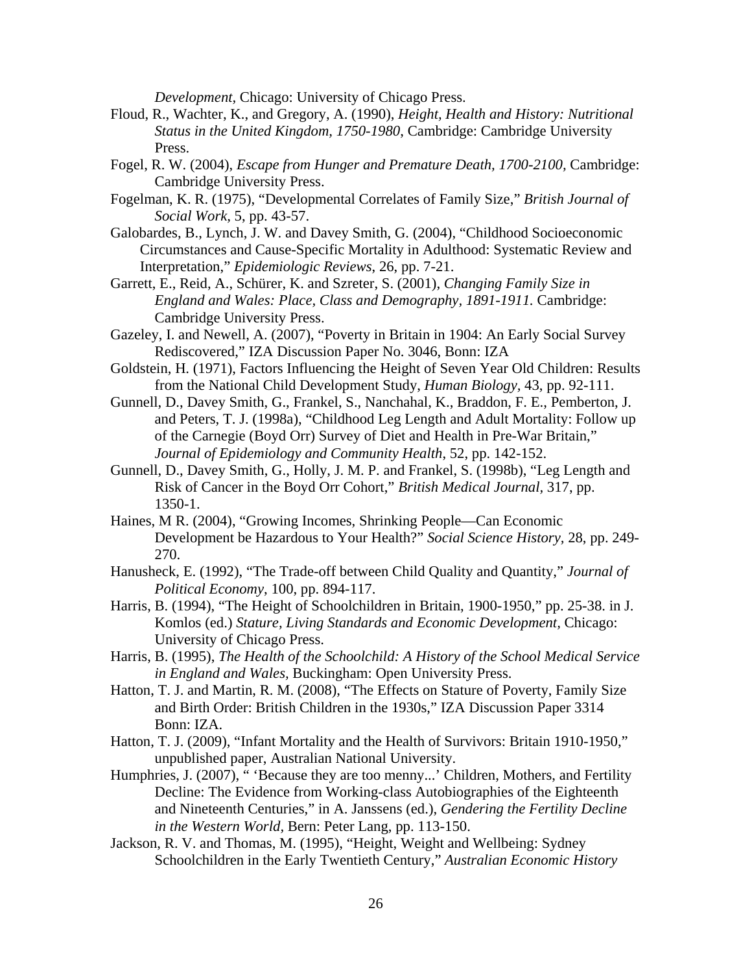*Development,* Chicago: University of Chicago Press.

- Floud, R., Wachter, K., and Gregory, A. (1990), *Height, Health and History: Nutritional Status in the United Kingdom, 1750-1980*, Cambridge: Cambridge University Press.
- Fogel, R. W. (2004), *Escape from Hunger and Premature Death, 1700-2100,* Cambridge: Cambridge University Press.
- Fogelman, K. R. (1975), "Developmental Correlates of Family Size," *British Journal of Social Work,* 5, pp. 43-57.
- Galobardes, B., Lynch, J. W. and Davey Smith, G. (2004), "Childhood Socioeconomic Circumstances and Cause-Specific Mortality in Adulthood: Systematic Review and Interpretation," *Epidemiologic Reviews*, 26, pp. 7-21.
- Garrett, E., Reid, A., Schürer, K. and Szreter, S. (2001), *Changing Family Size in England and Wales: Place, Class and Demography, 1891-1911.* Cambridge: Cambridge University Press.
- Gazeley, I. and Newell, A. (2007), "Poverty in Britain in 1904: An Early Social Survey Rediscovered," IZA Discussion Paper No. 3046, Bonn: IZA
- Goldstein, H. (1971), Factors Influencing the Height of Seven Year Old Children: Results from the National Child Development Study, *Human Biology,* 43, pp. 92-111.
- Gunnell, D., Davey Smith, G., Frankel, S., Nanchahal, K., Braddon, F. E., Pemberton, J. and Peters, T. J. (1998a), "Childhood Leg Length and Adult Mortality: Follow up of the Carnegie (Boyd Orr) Survey of Diet and Health in Pre-War Britain," *Journal of Epidemiology and Community Health*, 52, pp. 142-152.
- Gunnell, D., Davey Smith, G., Holly, J. M. P. and Frankel, S. (1998b), "Leg Length and Risk of Cancer in the Boyd Orr Cohort," *British Medical Journal,* 317, pp. 1350-1.
- Haines, M R. (2004), "Growing Incomes, Shrinking People—Can Economic Development be Hazardous to Your Health?" *Social Science History,* 28, pp. 249- 270.
- Hanusheck, E. (1992), "The Trade-off between Child Quality and Quantity," *Journal of Political Economy*, 100, pp. 894-117.
- Harris, B. (1994), "The Height of Schoolchildren in Britain, 1900-1950," pp. 25-38. in J. Komlos (ed.) *Stature, Living Standards and Economic Development,* Chicago: University of Chicago Press.
- Harris, B. (1995), *The Health of the Schoolchild: A History of the School Medical Service in England and Wales,* Buckingham: Open University Press.
- Hatton, T. J. and Martin, R. M. (2008), "The Effects on Stature of Poverty, Family Size and Birth Order: British Children in the 1930s," IZA Discussion Paper 3314 Bonn: IZA.
- Hatton, T. J. (2009), "Infant Mortality and the Health of Survivors: Britain 1910-1950," unpublished paper, Australian National University.
- Humphries, J. (2007), " 'Because they are too menny...' Children, Mothers, and Fertility Decline: The Evidence from Working-class Autobiographies of the Eighteenth and Nineteenth Centuries," in A. Janssens (ed.), *Gendering the Fertility Decline in the Western World,* Bern: Peter Lang, pp. 113-150.
- Jackson, R. V. and Thomas, M. (1995), "Height, Weight and Wellbeing: Sydney Schoolchildren in the Early Twentieth Century," *Australian Economic History*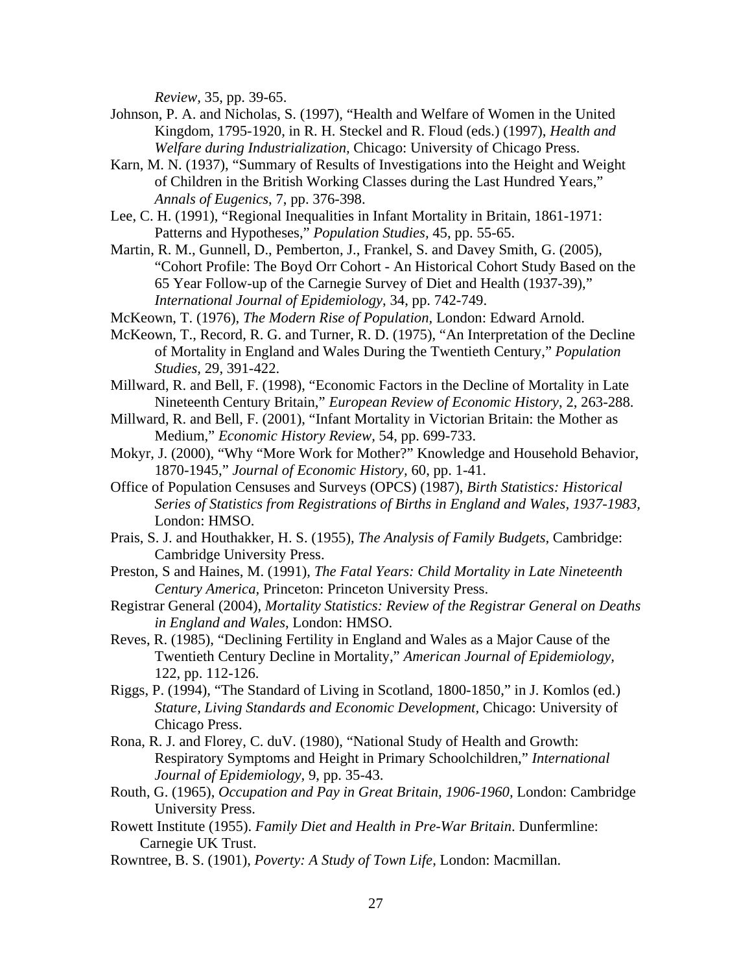*Review,* 35, pp. 39-65.

- Johnson, P. A. and Nicholas, S. (1997), "Health and Welfare of Women in the United Kingdom, 1795-1920, in R. H. Steckel and R. Floud (eds.) (1997), *Health and Welfare during Industrialization,* Chicago: University of Chicago Press.
- Karn, M. N. (1937), "Summary of Results of Investigations into the Height and Weight of Children in the British Working Classes during the Last Hundred Years," *Annals of Eugenics*, 7, pp. 376-398.
- Lee, C. H. (1991), "Regional Inequalities in Infant Mortality in Britain, 1861-1971: Patterns and Hypotheses," *Population Studies,* 45, pp. 55-65.
- Martin, R. M., Gunnell, D., Pemberton, J., Frankel, S. and Davey Smith, G. (2005), "Cohort Profile: The Boyd Orr Cohort - An Historical Cohort Study Based on the 65 Year Follow-up of the Carnegie Survey of Diet and Health (1937-39)," *International Journal of Epidemiology*, 34, pp. 742-749.
- McKeown, T. (1976), *The Modern Rise of Population,* London: Edward Arnold.
- McKeown, T., Record, R. G. and Turner, R. D. (1975), "An Interpretation of the Decline of Mortality in England and Wales During the Twentieth Century," *Population Studies,* 29, 391-422.
- Millward, R. and Bell, F. (1998), "Economic Factors in the Decline of Mortality in Late Nineteenth Century Britain," *European Review of Economic History*, 2, 263-288.
- Millward, R. and Bell, F. (2001), "Infant Mortality in Victorian Britain: the Mother as Medium," *Economic History Review,* 54, pp. 699-733.
- Mokyr, J. (2000), "Why "More Work for Mother?" Knowledge and Household Behavior, 1870-1945," *Journal of Economic History,* 60, pp. 1-41.
- Office of Population Censuses and Surveys (OPCS) (1987), *Birth Statistics: Historical Series of Statistics from Registrations of Births in England and Wales, 1937-1983,* London: HMSO.
- Prais, S. J. and Houthakker, H. S. (1955), *The Analysis of Family Budgets,* Cambridge: Cambridge University Press.
- Preston, S and Haines, M. (1991), *The Fatal Years: Child Mortality in Late Nineteenth Century America,* Princeton: Princeton University Press.
- Registrar General (2004), *Mortality Statistics: Review of the Registrar General on Deaths in England and Wales*, London: HMSO.
- Reves, R. (1985), "Declining Fertility in England and Wales as a Major Cause of the Twentieth Century Decline in Mortality," *American Journal of Epidemiology,*  122, pp. 112-126.
- Riggs, P. (1994), "The Standard of Living in Scotland, 1800-1850," in J. Komlos (ed.) *Stature, Living Standards and Economic Development,* Chicago: University of Chicago Press.
- Rona, R. J. and Florey, C. duV. (1980), "National Study of Health and Growth: Respiratory Symptoms and Height in Primary Schoolchildren," *International Journal of Epidemiology,* 9, pp. 35-43.
- Routh, G. (1965), *Occupation and Pay in Great Britain, 1906-1960,* London: Cambridge University Press.
- Rowett Institute (1955). *Family Diet and Health in Pre-War Britain*. Dunfermline: Carnegie UK Trust.
- Rowntree, B. S. (1901), *Poverty: A Study of Town Life*, London: Macmillan.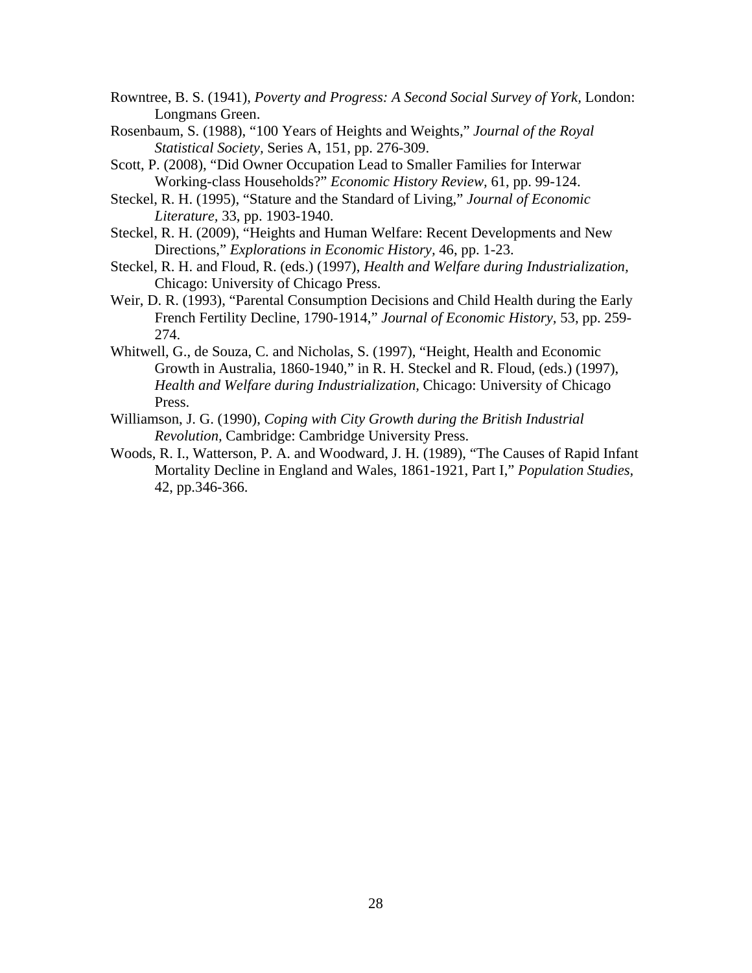- Rowntree, B. S. (1941), *Poverty and Progress: A Second Social Survey of York,* London: Longmans Green.
- Rosenbaum, S. (1988), "100 Years of Heights and Weights," *Journal of the Royal Statistical Society,* Series A, 151, pp. 276-309.
- Scott, P. (2008), "Did Owner Occupation Lead to Smaller Families for Interwar Working-class Households?" *Economic History Review,* 61, pp. 99-124.
- Steckel, R. H. (1995), "Stature and the Standard of Living," *Journal of Economic Literature,* 33, pp. 1903-1940.
- Steckel, R. H. (2009), "Heights and Human Welfare: Recent Developments and New Directions," *Explorations in Economic History,* 46, pp. 1-23.
- Steckel, R. H. and Floud, R. (eds.) (1997), *Health and Welfare during Industrialization,* Chicago: University of Chicago Press.
- Weir, D. R. (1993), "Parental Consumption Decisions and Child Health during the Early French Fertility Decline, 1790-1914," *Journal of Economic History,* 53, pp. 259- 274.
- Whitwell, G., de Souza, C. and Nicholas, S. (1997), "Height, Health and Economic Growth in Australia, 1860-1940," in R. H. Steckel and R. Floud, (eds.) (1997), *Health and Welfare during Industrialization,* Chicago: University of Chicago Press.
- Williamson, J. G. (1990), *Coping with City Growth during the British Industrial Revolution,* Cambridge: Cambridge University Press.
- Woods, R. I., Watterson, P. A. and Woodward, J. H. (1989), "The Causes of Rapid Infant Mortality Decline in England and Wales, 1861-1921, Part I," *Population Studies,* 42, pp.346-366.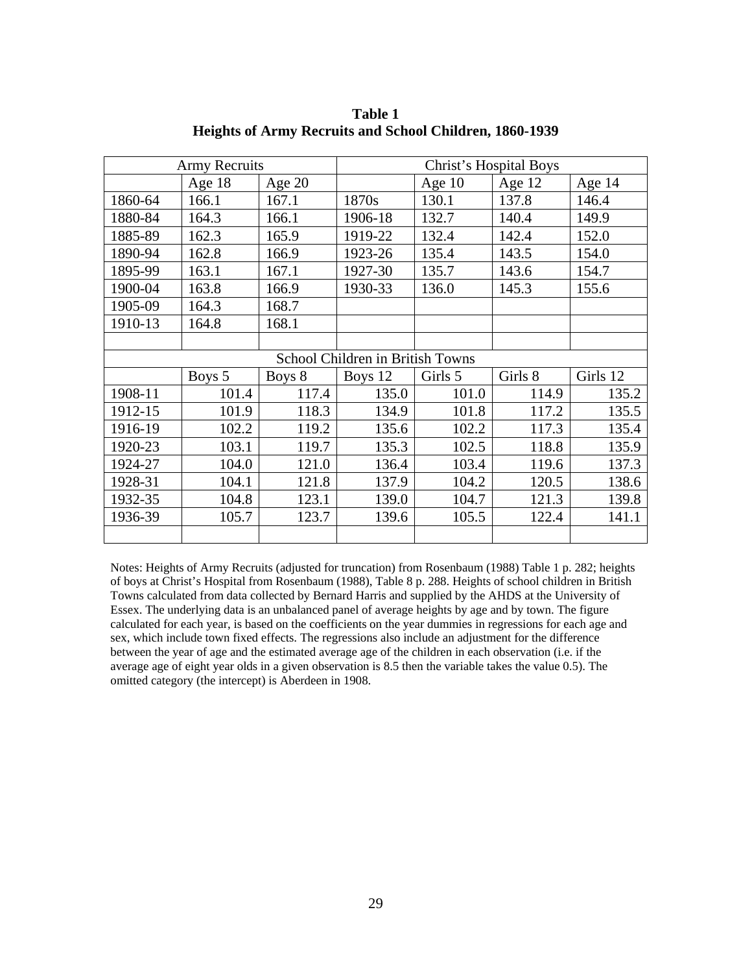|         | <b>Army Recruits</b> |          | Christ's Hospital Boys           |         |         |          |
|---------|----------------------|----------|----------------------------------|---------|---------|----------|
|         | Age $18$             | Age $20$ | Age $10$<br>Age $12$             |         |         | Age 14   |
| 1860-64 | 166.1                | 167.1    | 1870s                            | 130.1   | 137.8   | 146.4    |
| 1880-84 | 164.3                | 166.1    | 1906-18                          | 132.7   | 140.4   | 149.9    |
| 1885-89 | 162.3                | 165.9    | 1919-22                          | 132.4   | 142.4   | 152.0    |
| 1890-94 | 162.8                | 166.9    | 1923-26                          | 135.4   | 143.5   | 154.0    |
| 1895-99 | 163.1                | 167.1    | 1927-30                          | 135.7   | 143.6   | 154.7    |
| 1900-04 | 163.8                | 166.9    | 1930-33                          | 136.0   | 145.3   | 155.6    |
| 1905-09 | 164.3                | 168.7    |                                  |         |         |          |
| 1910-13 | 164.8                | 168.1    |                                  |         |         |          |
|         |                      |          |                                  |         |         |          |
|         |                      |          | School Children in British Towns |         |         |          |
|         | Boys 5               | Boys 8   | Boys 12                          | Girls 5 | Girls 8 | Girls 12 |
| 1908-11 | 101.4                | 117.4    | 135.0                            | 101.0   | 114.9   | 135.2    |
| 1912-15 | 101.9                | 118.3    | 134.9                            | 101.8   | 117.2   | 135.5    |
| 1916-19 | 102.2                | 119.2    | 135.6                            | 102.2   | 117.3   | 135.4    |
| 1920-23 | 103.1                | 119.7    | 135.3                            | 102.5   | 118.8   | 135.9    |
| 1924-27 | 104.0                | 121.0    | 136.4                            | 103.4   | 119.6   | 137.3    |
| 1928-31 | 104.1                | 121.8    | 137.9                            | 104.2   | 120.5   | 138.6    |
| 1932-35 | 104.8                | 123.1    | 139.0                            | 104.7   | 121.3   | 139.8    |
| 1936-39 | 105.7                | 123.7    | 139.6                            | 105.5   | 122.4   | 141.1    |
|         |                      |          |                                  |         |         |          |

**Table 1 Heights of Army Recruits and School Children, 1860-1939** 

Notes: Heights of Army Recruits (adjusted for truncation) from Rosenbaum (1988) Table 1 p. 282; heights of boys at Christ's Hospital from Rosenbaum (1988), Table 8 p. 288. Heights of school children in British Towns calculated from data collected by Bernard Harris and supplied by the AHDS at the University of Essex. The underlying data is an unbalanced panel of average heights by age and by town. The figure calculated for each year, is based on the coefficients on the year dummies in regressions for each age and sex, which include town fixed effects. The regressions also include an adjustment for the difference between the year of age and the estimated average age of the children in each observation (i.e. if the average age of eight year olds in a given observation is 8.5 then the variable takes the value 0.5). The omitted category (the intercept) is Aberdeen in 1908.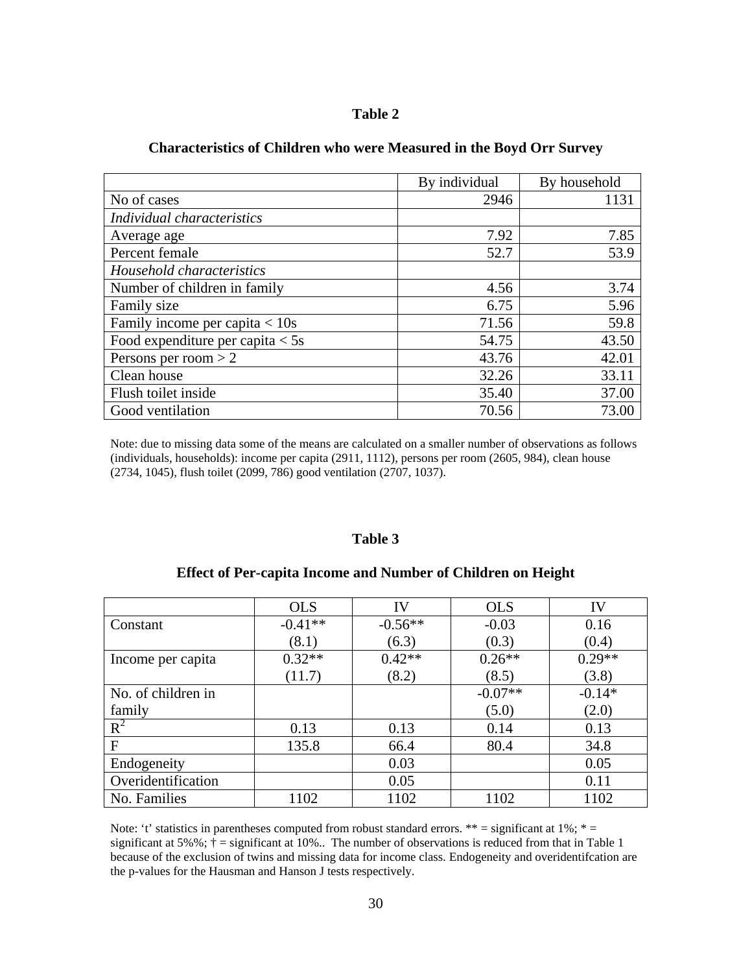| П<br>١<br>H<br>., |  |
|-------------------|--|
|-------------------|--|

|                                    | By individual | By household |
|------------------------------------|---------------|--------------|
| No of cases                        | 2946          | 1131         |
| Individual characteristics         |               |              |
| Average age                        | 7.92          | 7.85         |
| Percent female                     | 52.7          | 53.9         |
| Household characteristics          |               |              |
| Number of children in family       | 4.56          | 3.74         |
| Family size                        | 6.75          | 5.96         |
| Family income per capita $<$ 10s   | 71.56         | 59.8         |
| Food expenditure per capita $< 5s$ | 54.75         | 43.50        |
| Persons per room $> 2$             | 43.76         | 42.01        |
| Clean house                        | 32.26         | 33.11        |
| Flush toilet inside                | 35.40         | 37.00        |
| Good ventilation                   | 70.56         | 73.00        |

#### **Characteristics of Children who were Measured in the Boyd Orr Survey**

Note: due to missing data some of the means are calculated on a smaller number of observations as follows (individuals, households): income per capita (2911, 1112), persons per room (2605, 984), clean house (2734, 1045), flush toilet (2099, 786) good ventilation (2707, 1037).

#### **Table 3**

#### **Effect of Per-capita Income and Number of Children on Height**

|                    | <b>OLS</b> | IV        | <b>OLS</b> | IV       |
|--------------------|------------|-----------|------------|----------|
| Constant           | $-0.41**$  | $-0.56**$ | $-0.03$    | 0.16     |
|                    | (8.1)      | (6.3)     | (0.3)      | (0.4)    |
| Income per capita  | $0.32**$   | $0.42**$  | $0.26**$   | $0.29**$ |
|                    | (11.7)     | (8.2)     | (8.5)      | (3.8)    |
| No. of children in |            |           | $-0.07**$  | $-0.14*$ |
| family             |            |           | (5.0)      | (2.0)    |
| $R^2$              | 0.13       | 0.13      | 0.14       | 0.13     |
| $\mathbf{F}$       | 135.8      | 66.4      | 80.4       | 34.8     |
| Endogeneity        |            | 0.03      |            | 0.05     |
| Overidentification |            | 0.05      |            | 0.11     |
| No. Families       | 1102       | 1102      | 1102       | 1102     |

Note: 't' statistics in parentheses computed from robust standard errors. \*\* = significant at 1%; \* = significant at 5%%;  $\dot{\uparrow}$  = significant at 10%.. The number of observations is reduced from that in Table 1 because of the exclusion of twins and missing data for income class. Endogeneity and overidentifcation are the p-values for the Hausman and Hanson J tests respectively.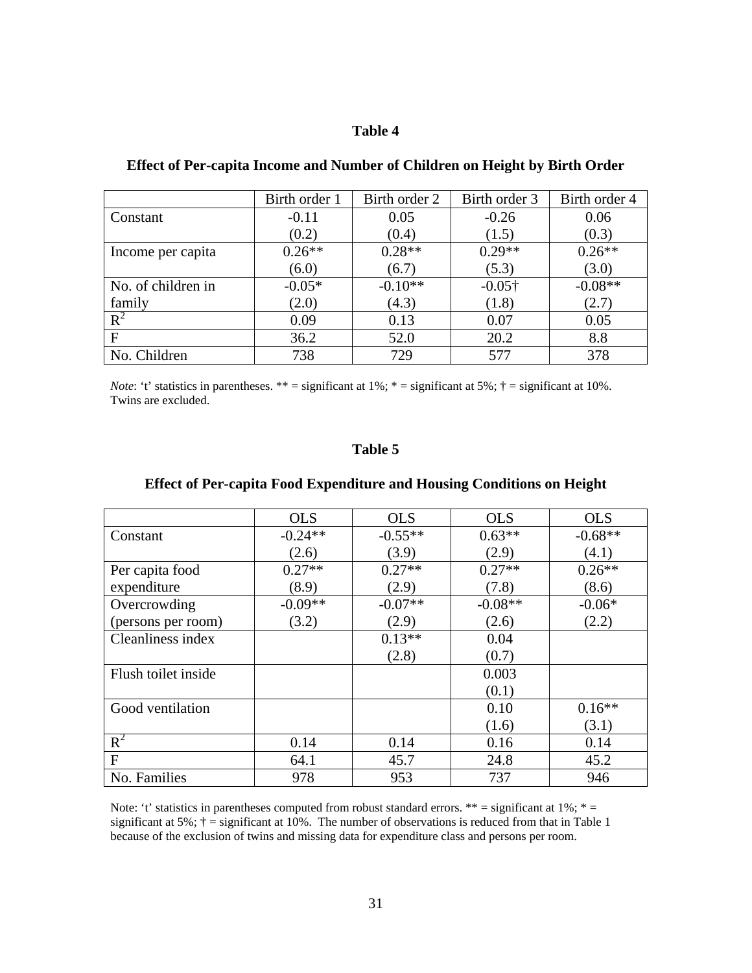### **Table 4**

|                    | Birth order 1 | Birth order 2 | Birth order 3  | Birth order 4 |
|--------------------|---------------|---------------|----------------|---------------|
| Constant           | $-0.11$       | 0.05          | $-0.26$        | 0.06          |
|                    | (0.2)         | (0.4)         | (1.5)          | (0.3)         |
| Income per capita  | $0.26**$      | $0.28**$      | $0.29**$       | $0.26**$      |
|                    | (6.0)         | (6.7)         | (5.3)          | (3.0)         |
| No. of children in | $-0.05*$      | $-0.10**$     | $-0.05\dagger$ | $-0.08**$     |
| family             | (2.0)         | (4.3)         | (1.8)          | (2.7)         |
| $R^2$              | 0.09          | 0.13          | 0.07           | 0.05          |
| F                  | 36.2          | 52.0          | 20.2           | 8.8           |
| No. Children       | 738           | 729           | 577            | 378           |

# **Effect of Per-capita Income and Number of Children on Height by Birth Order**

*Note*: 't' statistics in parentheses. \*\* = significant at 1%; \* = significant at 5%; † = significant at 10%. Twins are excluded.

#### **Table 5**

# **Effect of Per-capita Food Expenditure and Housing Conditions on Height**

|                     | <b>OLS</b> | <b>OLS</b> | <b>OLS</b> | <b>OLS</b> |
|---------------------|------------|------------|------------|------------|
| Constant            | $-0.24**$  | $-0.55**$  | $0.63**$   | $-0.68**$  |
|                     | (2.6)      | (3.9)      | (2.9)      | (4.1)      |
| Per capita food     | $0.27**$   | $0.27**$   | $0.27**$   | $0.26**$   |
| expenditure         | (8.9)      | (2.9)      | (7.8)      | (8.6)      |
| Overcrowding        | $-0.09**$  | $-0.07**$  | $-0.08**$  | $-0.06*$   |
| (persons per room)  | (3.2)      | (2.9)      | (2.6)      | (2.2)      |
| Cleanliness index   |            | $0.13**$   | 0.04       |            |
|                     |            | (2.8)      | (0.7)      |            |
| Flush toilet inside |            |            | 0.003      |            |
|                     |            |            | (0.1)      |            |
| Good ventilation    |            |            | 0.10       | $0.16**$   |
|                     |            |            | (1.6)      | (3.1)      |
| $R^2$               | 0.14       | 0.14       | 0.16       | 0.14       |
| F                   | 64.1       | 45.7       | 24.8       | 45.2       |
| No. Families        | 978        | 953        | 737        | 946        |

Note: 't' statistics in parentheses computed from robust standard errors. \*\* = significant at 1%; \* = significant at 5%;  $\dagger$  = significant at 10%. The number of observations is reduced from that in Table 1 because of the exclusion of twins and missing data for expenditure class and persons per room.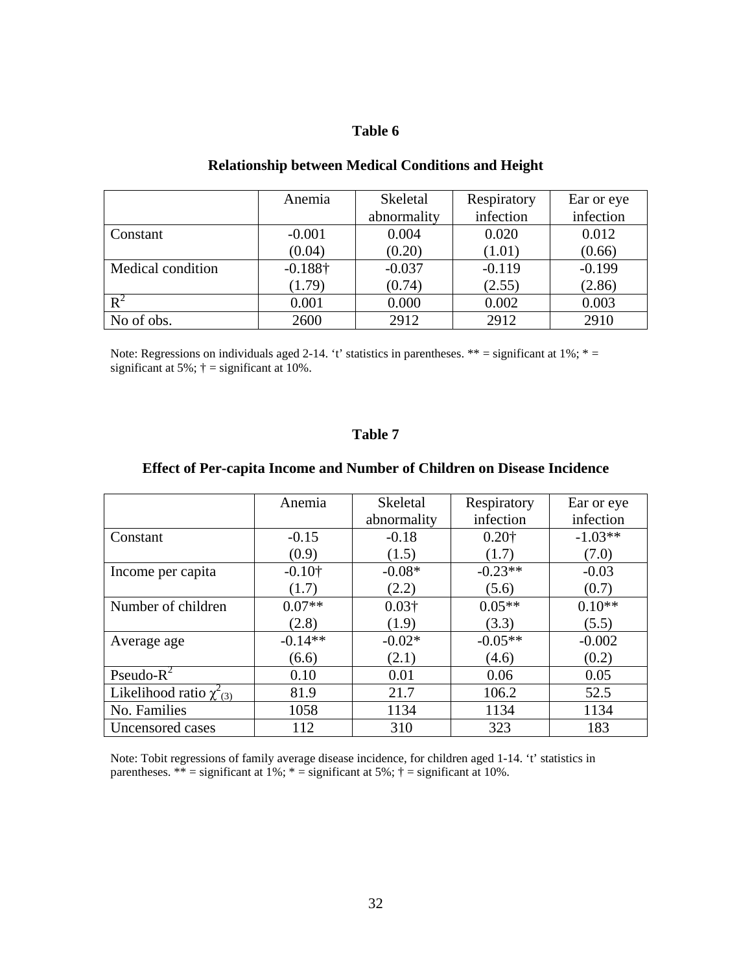### **Table 6**

# **Relationship between Medical Conditions and Height**

|                   | Anemia          | Skeletal    | Respiratory | Ear or eye |
|-------------------|-----------------|-------------|-------------|------------|
|                   |                 | abnormality | infection   | infection  |
| Constant          | $-0.001$        | 0.004       | 0.020       | 0.012      |
|                   | (0.04)          | (0.20)      | (1.01)      | (0.66)     |
| Medical condition | $-0.188\dagger$ | $-0.037$    | $-0.119$    | $-0.199$   |
|                   | (1.79)          | (0.74)      | (2.55)      | (2.86)     |
| $R^2$             | 0.001           | 0.000       | 0.002       | 0.003      |
| No of obs.        | 2600            | 2912        | 2912        | 2910       |

Note: Regressions on individuals aged 2-14. 't' statistics in parentheses. \*\* = significant at 1%; \* = significant at 5%;  $\dagger$  = significant at 10%.

# **Table 7**

# **Effect of Per-capita Income and Number of Children on Disease Incidence**

|                                 | Anemia         | Skeletal<br>abnormality | Respiratory<br>infection | Ear or eye<br>infection |
|---------------------------------|----------------|-------------------------|--------------------------|-------------------------|
| Constant                        | $-0.15$        | $-0.18$                 | $0.20\dagger$            | $-1.03**$               |
|                                 | (0.9)          | (1.5)                   | (1.7)                    | (7.0)                   |
| Income per capita               | $-0.10\dagger$ | $-0.08*$                | $-0.23**$                | $-0.03$                 |
|                                 | (1.7)          | (2.2)                   | (5.6)                    | (0.7)                   |
| Number of children              | $0.07**$       | $0.03\dagger$           | $0.05**$                 | $0.10**$                |
|                                 | (2.8)          | (1.9)                   | (3.3)                    | (5.5)                   |
| Average age                     | $-0.14**$      | $-0.02*$                | $-0.05**$                | $-0.002$                |
|                                 | (6.6)          | (2.1)                   | (4.6)                    | (0.2)                   |
| Pseudo- $R^2$                   | 0.10           | 0.01                    | 0.06                     | 0.05                    |
| Likelihood ratio $\chi^2_{(3)}$ | 81.9           | 21.7                    | 106.2                    | 52.5                    |
| No. Families                    | 1058           | 1134                    | 1134                     | 1134                    |
| Uncensored cases                | 112            | 310                     | 323                      | 183                     |

Note: Tobit regressions of family average disease incidence, for children aged 1-14. 't' statistics in parentheses.  $** =$  significant at 1%;  $* =$  significant at 5%;  $\dagger =$  significant at 10%.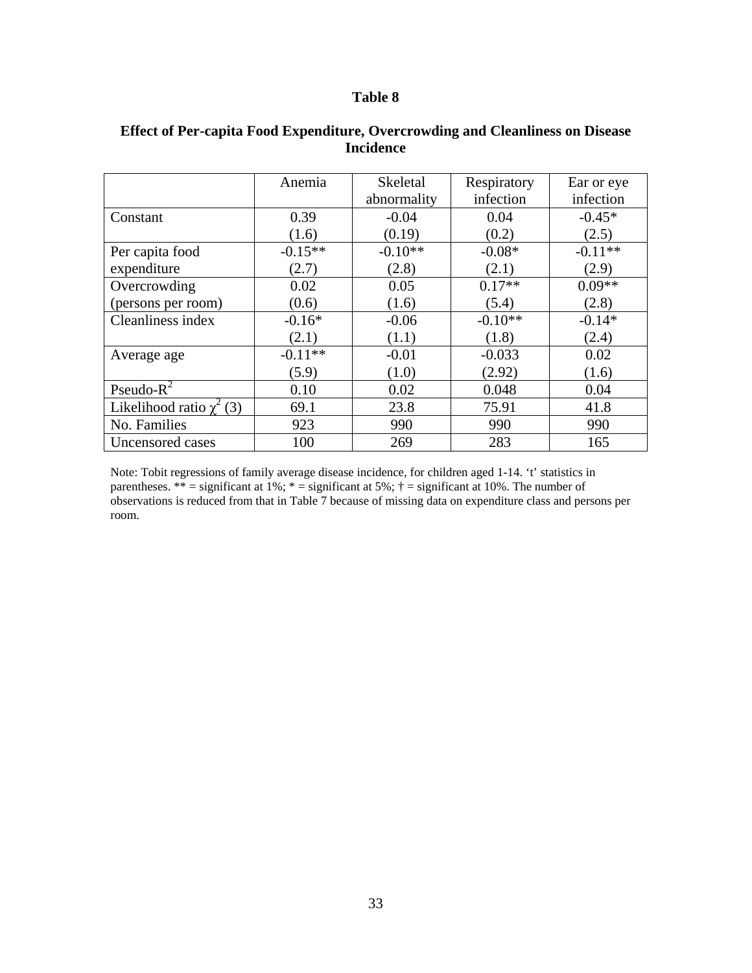### **Table 8**

|                               | Anemia    | Skeletal    | Respiratory | Ear or eye |
|-------------------------------|-----------|-------------|-------------|------------|
|                               |           | abnormality | infection   | infection  |
| Constant                      | 0.39      | $-0.04$     | 0.04        | $-0.45*$   |
|                               | (1.6)     | (0.19)      | (0.2)       | (2.5)      |
| Per capita food               | $-0.15**$ | $-0.10**$   | $-0.08*$    | $-0.11**$  |
| expenditure                   | (2.7)     | (2.8)       | (2.1)       | (2.9)      |
| Overcrowding                  | 0.02      | 0.05        | $0.17**$    | $0.09**$   |
| (persons per room)            | (0.6)     | (1.6)       | (5.4)       | (2.8)      |
| Cleanliness index             | $-0.16*$  | $-0.06$     | $-0.10**$   | $-0.14*$   |
|                               | (2.1)     | (1.1)       | (1.8)       | (2.4)      |
| Average age                   | $-0.11**$ | $-0.01$     | $-0.033$    | 0.02       |
|                               | (5.9)     | (1.0)       | (2.92)      | (1.6)      |
| Pseudo- $R^2$                 | 0.10      | 0.02        | 0.048       | 0.04       |
| Likelihood ratio $\chi^2$ (3) | 69.1      | 23.8        | 75.91       | 41.8       |
| No. Families                  | 923       | 990         | 990         | 990        |
| Uncensored cases              | 100       | 269         | 283         | 165        |

# **Effect of Per-capita Food Expenditure, Overcrowding and Cleanliness on Disease Incidence**

Note: Tobit regressions of family average disease incidence, for children aged 1-14. 't' statistics in parentheses.  $** =$  significant at 1%;  $* =$  significant at 5%;  $\dagger =$  significant at 10%. The number of observations is reduced from that in Table 7 because of missing data on expenditure class and persons per room.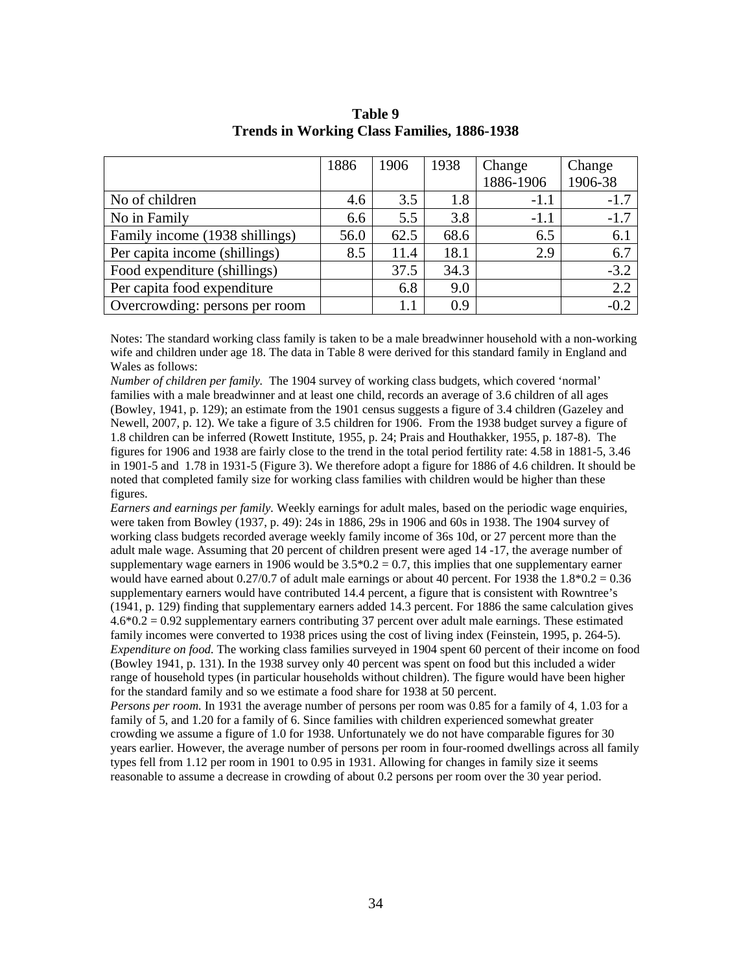|                                | 1886 | 1906    | 1938 | Change    | Change  |
|--------------------------------|------|---------|------|-----------|---------|
|                                |      |         |      | 1886-1906 | 1906-38 |
| No of children                 | 4.6  | 3.5     | 1.8  | $-1.1$    | $-1.7$  |
| No in Family                   | 6.6  | 5.5     | 3.8  | $-1.1$    | $-1.7$  |
| Family income (1938 shillings) | 56.0 | 62.5    | 68.6 | 6.5       | 6.1     |
| Per capita income (shillings)  | 8.5  | 11.4    | 18.1 | 2.9       | 6.7     |
| Food expenditure (shillings)   |      | 37.5    | 34.3 |           | $-3.2$  |
| Per capita food expenditure    |      | 6.8     | 9.0  |           | 2.2     |
| Overcrowding: persons per room |      | $1.1\,$ | 0.9  |           | $-0.2$  |

**Table 9 Trends in Working Class Families, 1886-1938** 

Notes: The standard working class family is taken to be a male breadwinner household with a non-working wife and children under age 18. The data in Table 8 were derived for this standard family in England and Wales as follows:

*Number of children per family.* The 1904 survey of working class budgets, which covered 'normal' families with a male breadwinner and at least one child, records an average of 3.6 children of all ages (Bowley, 1941, p. 129); an estimate from the 1901 census suggests a figure of 3.4 children (Gazeley and Newell, 2007, p. 12). We take a figure of 3.5 children for 1906. From the 1938 budget survey a figure of 1.8 children can be inferred (Rowett Institute, 1955, p. 24; Prais and Houthakker, 1955, p. 187-8). The figures for 1906 and 1938 are fairly close to the trend in the total period fertility rate: 4.58 in 1881-5, 3.46 in 1901-5 and 1.78 in 1931-5 (Figure 3). We therefore adopt a figure for 1886 of 4.6 children. It should be noted that completed family size for working class families with children would be higher than these figures.

*Earners and earnings per family.* Weekly earnings for adult males, based on the periodic wage enquiries, were taken from Bowley (1937, p. 49): 24s in 1886, 29s in 1906 and 60s in 1938. The 1904 survey of working class budgets recorded average weekly family income of 36s 10d, or 27 percent more than the adult male wage. Assuming that 20 percent of children present were aged 14 -17, the average number of supplementary wage earners in 1906 would be  $3.5*0.2 = 0.7$ , this implies that one supplementary earner would have earned about 0.27/0.7 of adult male earnings or about 40 percent. For 1938 the  $1.8*0.2 = 0.36$ supplementary earners would have contributed 14.4 percent, a figure that is consistent with Rowntree's (1941, p. 129) finding that supplementary earners added 14.3 percent. For 1886 the same calculation gives  $4.6*0.2 = 0.92$  supplementary earners contributing 37 percent over adult male earnings. These estimated family incomes were converted to 1938 prices using the cost of living index (Feinstein, 1995, p. 264-5). *Expenditure on food.* The working class families surveyed in 1904 spent 60 percent of their income on food (Bowley 1941, p. 131). In the 1938 survey only 40 percent was spent on food but this included a wider range of household types (in particular households without children). The figure would have been higher for the standard family and so we estimate a food share for 1938 at 50 percent.

*Persons per room.* In 1931 the average number of persons per room was 0.85 for a family of 4, 1.03 for a family of 5, and 1.20 for a family of 6. Since families with children experienced somewhat greater crowding we assume a figure of 1.0 for 1938. Unfortunately we do not have comparable figures for 30 years earlier. However, the average number of persons per room in four-roomed dwellings across all family types fell from 1.12 per room in 1901 to 0.95 in 1931. Allowing for changes in family size it seems reasonable to assume a decrease in crowding of about 0.2 persons per room over the 30 year period.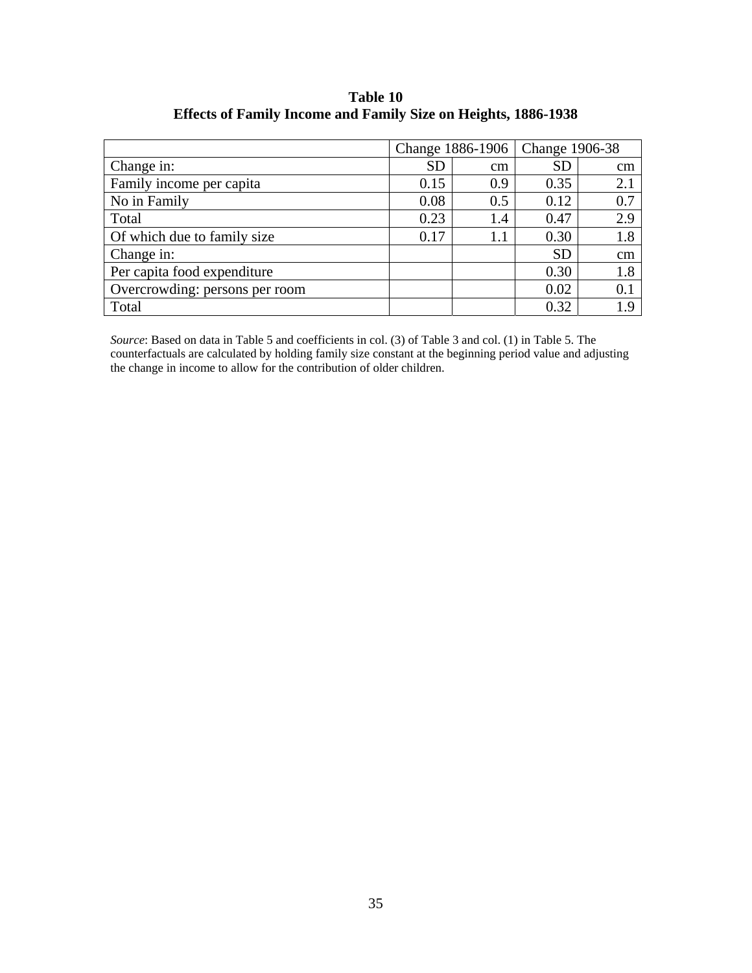**Table 10 Effects of Family Income and Family Size on Heights, 1886-1938** 

|                                | Change 1886-1906 |          | <b>Change 1906-38</b> |     |
|--------------------------------|------------------|----------|-----------------------|-----|
| Change in:                     | <b>SD</b>        | $\rm cm$ | <b>SD</b>             | cm  |
| Family income per capita       | 0.15             | 0.9      | 0.35                  | 2.1 |
| No in Family                   | 0.08             | 0.5      | 0.12                  | 0.7 |
| Total                          | 0.23             | 1.4      | 0.47                  | 2.9 |
| Of which due to family size    | 0.17             | 1.1      | 0.30                  | 1.8 |
| Change in:                     |                  |          | <b>SD</b>             | cm  |
| Per capita food expenditure    |                  |          | 0.30                  | 1.8 |
| Overcrowding: persons per room |                  |          | 0.02                  | 0.1 |
| Total                          |                  |          | 0.32                  | 1 Q |

*Source*: Based on data in Table 5 and coefficients in col. (3) of Table 3 and col. (1) in Table 5. The counterfactuals are calculated by holding family size constant at the beginning period value and adjusting the change in income to allow for the contribution of older children.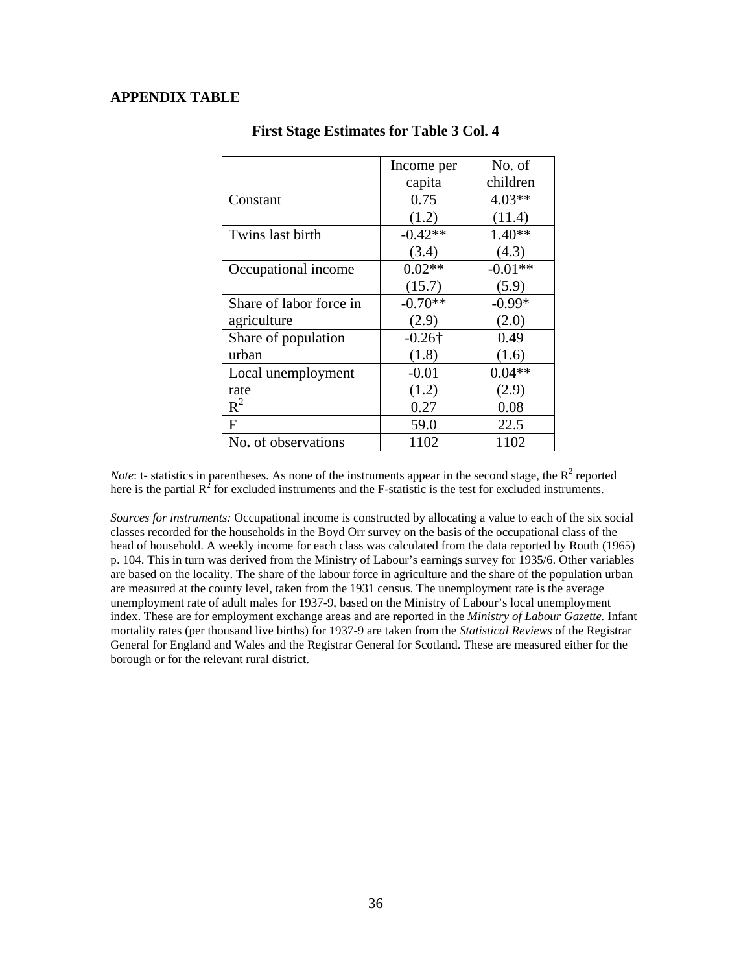#### **APPENDIX TABLE**

|                         | Income per     | No. of    |
|-------------------------|----------------|-----------|
|                         | capita         | children  |
| Constant                | 0.75           | $4.03**$  |
|                         | (1.2)          | (11.4)    |
| Twins last birth        | $-0.42**$      | $1.40**$  |
|                         | (3.4)          | (4.3)     |
| Occupational income     | $0.02**$       | $-0.01**$ |
|                         | (15.7)         | (5.9)     |
| Share of labor force in | $-0.70**$      | $-0.99*$  |
| agriculture             | (2.9)          | (2.0)     |
| Share of population     | $-0.26\dagger$ | 0.49      |
| urban                   | (1.8)          | (1.6)     |
| Local unemployment      | $-0.01$        | $0.04**$  |
| rate                    | (1.2)          | (2.9)     |
| $R^2$                   | 0.27           | 0.08      |
| $\mathbf{F}$            | 59.0           | 22.5      |
| No. of observations     | 1102           | 1102      |

#### **First Stage Estimates for Table 3 Col. 4**

*Note*: t- statistics in parentheses. As none of the instruments appear in the second stage, the  $R^2$  reported here is the partial  $R^2$  for excluded instruments and the F-statistic is the test for excluded instruments.

*Sources for instruments:* Occupational income is constructed by allocating a value to each of the six social classes recorded for the households in the Boyd Orr survey on the basis of the occupational class of the head of household. A weekly income for each class was calculated from the data reported by Routh (1965) p. 104. This in turn was derived from the Ministry of Labour's earnings survey for 1935/6. Other variables are based on the locality. The share of the labour force in agriculture and the share of the population urban are measured at the county level, taken from the 1931 census. The unemployment rate is the average unemployment rate of adult males for 1937-9, based on the Ministry of Labour's local unemployment index. These are for employment exchange areas and are reported in the *Ministry of Labour Gazette.* Infant mortality rates (per thousand live births) for 1937-9 are taken from the *Statistical Reviews* of the Registrar General for England and Wales and the Registrar General for Scotland. These are measured either for the borough or for the relevant rural district.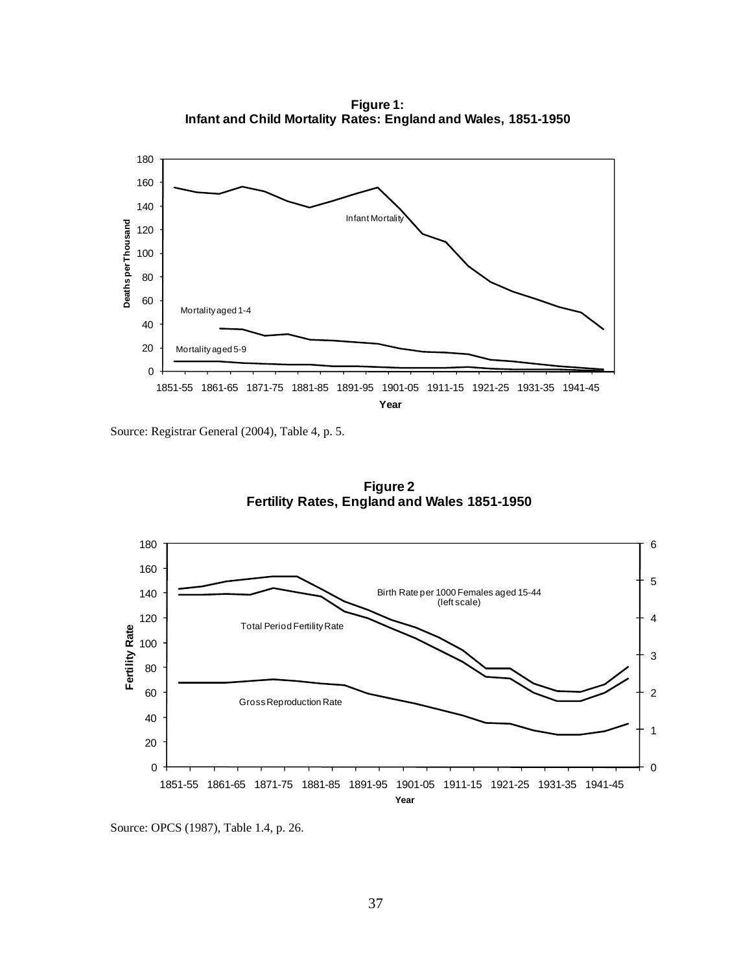**Figure 1: Infant and Child Mortality Rates: England and Wales, 1851-1950**



Source: Registrar General (2004), Table 4, p. 5.



**Figure 2 Fertility Rates, England and Wales 1851-1950**

Source: OPCS (1987), Table 1.4, p. 26.